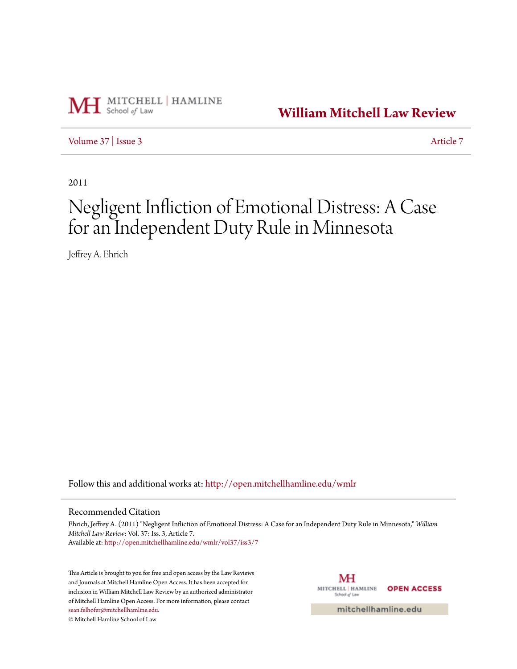

**[William Mitchell Law Review](http://open.mitchellhamline.edu/wmlr?utm_source=open.mitchellhamline.edu%2Fwmlr%2Fvol37%2Fiss3%2F7&utm_medium=PDF&utm_campaign=PDFCoverPages)**

[Volume 37](http://open.mitchellhamline.edu/wmlr/vol37?utm_source=open.mitchellhamline.edu%2Fwmlr%2Fvol37%2Fiss3%2F7&utm_medium=PDF&utm_campaign=PDFCoverPages) | [Issue 3](http://open.mitchellhamline.edu/wmlr/vol37/iss3?utm_source=open.mitchellhamline.edu%2Fwmlr%2Fvol37%2Fiss3%2F7&utm_medium=PDF&utm_campaign=PDFCoverPages) [Article 7](http://open.mitchellhamline.edu/wmlr/vol37/iss3/7?utm_source=open.mitchellhamline.edu%2Fwmlr%2Fvol37%2Fiss3%2F7&utm_medium=PDF&utm_campaign=PDFCoverPages)

2011

# Negligent Infliction of Emotional Distress: A Case for an Independent Duty Rule in Minnesota

Jeffrey A. Ehrich

Follow this and additional works at: [http://open.mitchellhamline.edu/wmlr](http://open.mitchellhamline.edu/wmlr?utm_source=open.mitchellhamline.edu%2Fwmlr%2Fvol37%2Fiss3%2F7&utm_medium=PDF&utm_campaign=PDFCoverPages)

# Recommended Citation

Ehrich, Jeffrey A. (2011) "Negligent Infliction of Emotional Distress: A Case for an Independent Duty Rule in Minnesota," *William Mitchell Law Review*: Vol. 37: Iss. 3, Article 7. Available at: [http://open.mitchellhamline.edu/wmlr/vol37/iss3/7](http://open.mitchellhamline.edu/wmlr/vol37/iss3/7?utm_source=open.mitchellhamline.edu%2Fwmlr%2Fvol37%2Fiss3%2F7&utm_medium=PDF&utm_campaign=PDFCoverPages)

This Article is brought to you for free and open access by the Law Reviews and Journals at Mitchell Hamline Open Access. It has been accepted for inclusion in William Mitchell Law Review by an authorized administrator of Mitchell Hamline Open Access. For more information, please contact [sean.felhofer@mitchellhamline.edu](mailto:sean.felhofer@mitchellhamline.edu).

© Mitchell Hamline School of Law

MH MITCHELL | HAMLINE **OPEN ACCESS** School of Law

mitchellhamline.edu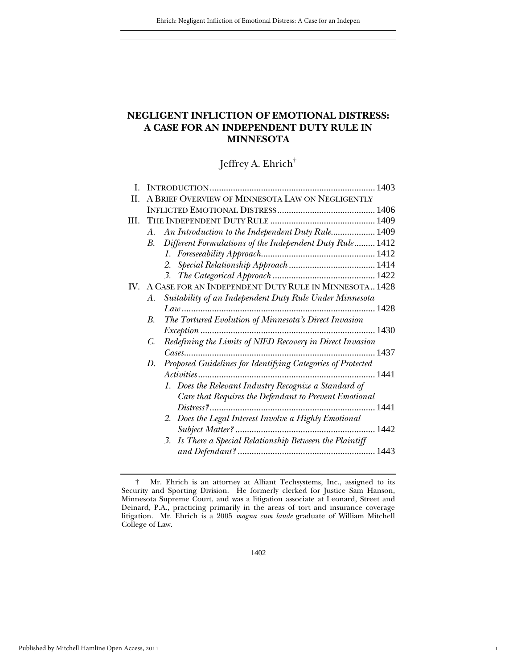# **NEGLIGENT INFLICTION OF EMOTIONAL DISTRESS: A CASE FOR AN INDEPENDENT DUTY RULE IN MINNESOTA**

Jeffrey A. Ehrich†

| L   |                                                                   |  |
|-----|-------------------------------------------------------------------|--|
| H.  | A BRIEF OVERVIEW OF MINNESOTA LAW ON NEGLIGENTLY                  |  |
|     |                                                                   |  |
| HI. |                                                                   |  |
|     | An Introduction to the Independent Duty Rule 1409<br>А.           |  |
|     | B. Different Formulations of the Independent Duty Rule 1412       |  |
|     |                                                                   |  |
|     |                                                                   |  |
|     |                                                                   |  |
|     | IV. A CASE FOR AN INDEPENDENT DUTY RULE IN MINNESOTA 1428         |  |
|     | Suitability of an Independent Duty Rule Under Minnesota<br>А.     |  |
|     |                                                                   |  |
|     | The Tortured Evolution of Minnesota's Direct Invasion<br>В.       |  |
|     |                                                                   |  |
|     | Redefining the Limits of NIED Recovery in Direct Invasion<br>C.   |  |
|     |                                                                   |  |
|     | Proposed Guidelines for Identifying Categories of Protected<br>D. |  |
|     |                                                                   |  |
|     | 1. Does the Relevant Industry Recognize a Standard of             |  |
|     | Care that Requires the Defendant to Prevent Emotional             |  |
|     |                                                                   |  |
|     | 2. Does the Legal Interest Involve a Highly Emotional             |  |
|     |                                                                   |  |
|     | 3. Is There a Special Relationship Between the Plaintiff          |  |
|     |                                                                   |  |
|     |                                                                   |  |

1

† Mr. Ehrich is an attorney at Alliant Techsystems, Inc., assigned to its Security and Sporting Division. He formerly clerked for Justice Sam Hanson, Minnesota Supreme Court, and was a litigation associate at Leonard, Street and Deinard, P.A., practicing primarily in the areas of tort and insurance coverage litigation. Mr. Ehrich is a 2005 *magna cum laude* graduate of William Mitchell College of Law.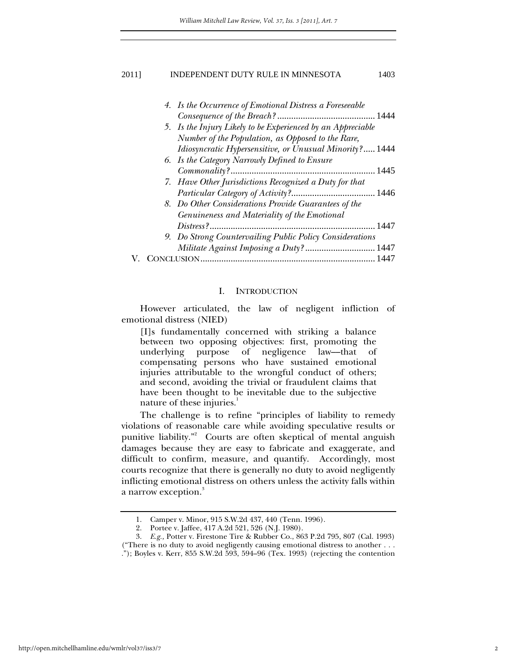| 4. Is the Occurrence of Emotional Distress a Foreseeable    |  |
|-------------------------------------------------------------|--|
|                                                             |  |
| 5. Is the Injury Likely to be Experienced by an Appreciable |  |
| Number of the Population, as Opposed to the Rare,           |  |
| Idiosyncratic Hypersensitive, or Unusual Minority? 1444     |  |
| 6. Is the Category Narrowly Defined to Ensure               |  |
|                                                             |  |
| 7. Have Other Jurisdictions Recognized a Duty for that      |  |
|                                                             |  |
| 8. Do Other Considerations Provide Guarantees of the        |  |
| Genuineness and Materiality of the Emotional                |  |
|                                                             |  |
| 9. Do Strong Countervailing Public Policy Considerations    |  |
| Militate Against Imposing a Duty?  1447                     |  |
| CLUSION                                                     |  |

#### I. INTRODUCTION

However articulated, the law of negligent infliction of emotional distress (NIED)

[I]s fundamentally concerned with striking a balance between two opposing objectives: first, promoting the underlying purpose of negligence law––that of compensating persons who have sustained emotional injuries attributable to the wrongful conduct of others; and second, avoiding the trivial or fraudulent claims that have been thought to be inevitable due to the subjective nature of these injuries. $1$ 

The challenge is to refine "principles of liability to remedy violations of reasonable care while avoiding speculative results or punitive liability."<sup>2</sup> Courts are often skeptical of mental anguish damages because they are easy to fabricate and exaggerate, and difficult to confirm, measure, and quantify. Accordingly, most courts recognize that there is generally no duty to avoid negligently inflicting emotional distress on others unless the activity falls within a narrow exception. $^{\mathrm{3}}$ 

 <sup>1.</sup> Camper v. Minor, 915 S.W.2d 437, 440 (Tenn. 1996).

 <sup>2.</sup> Portee v. Jaffee, 417 A.2d 521, 526 (N.J. 1980).

 <sup>3.</sup> *E.g.,* Potter v. Firestone Tire & Rubber Co., 863 P.2d 795, 807 (Cal. 1993) ("There is no duty to avoid negligently causing emotional distress to another . . . ."); Boyles v. Kerr, 855 S.W.2d 593, 594–96 (Tex. 1993) (rejecting the contention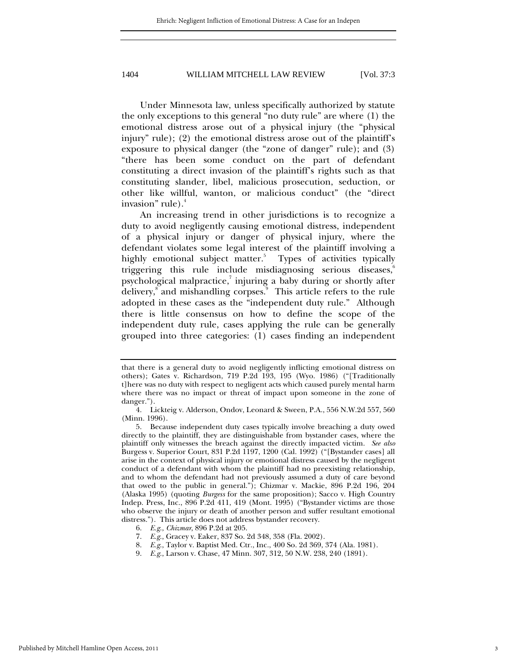Under Minnesota law, unless specifically authorized by statute the only exceptions to this general "no duty rule" are where (1) the emotional distress arose out of a physical injury (the "physical injury" rule); (2) the emotional distress arose out of the plaintiff's exposure to physical danger (the "zone of danger" rule); and (3) "there has been some conduct on the part of defendant constituting a direct invasion of the plaintiff's rights such as that constituting slander, libel, malicious prosecution, seduction, or other like willful, wanton, or malicious conduct" (the "direct invasion" rule).<sup>4</sup>

An increasing trend in other jurisdictions is to recognize a duty to avoid negligently causing emotional distress, independent of a physical injury or danger of physical injury, where the defendant violates some legal interest of the plaintiff involving a highly emotional subject matter.<sup>5</sup> Types of activities typically triggering this rule include misdiagnosing serious diseases,<sup>6</sup> psychological malpractice,<sup>7</sup> injuring a baby during or shortly after delivery,<sup>8</sup> and mishandling corpses.<sup>9</sup> This article refers to the rule adopted in these cases as the "independent duty rule." Although there is little consensus on how to define the scope of the independent duty rule, cases applying the rule can be generally grouped into three categories: (1) cases finding an independent

that there is a general duty to avoid negligently inflicting emotional distress on others); Gates v. Richardson, 719 P.2d 193, 195 (Wyo. 1986) ("[Traditionally t]here was no duty with respect to negligent acts which caused purely mental harm where there was no impact or threat of impact upon someone in the zone of danger.").

 <sup>4.</sup> Lickteig v. Alderson, Ondov, Leonard & Sween, P.A., 556 N.W.2d 557, 560 (Minn. 1996).

 <sup>5.</sup> Because independent duty cases typically involve breaching a duty owed directly to the plaintiff, they are distinguishable from bystander cases, where the plaintiff only witnesses the breach against the directly impacted victim. *See also*  Burgess v. Superior Court, 831 P.2d 1197, 1200 (Cal. 1992) ("[Bystander cases] all arise in the context of physical injury or emotional distress caused by the negligent conduct of a defendant with whom the plaintiff had no preexisting relationship, and to whom the defendant had not previously assumed a duty of care beyond that owed to the public in general."); Chizmar v. Mackie, 896 P.2d 196, 204 (Alaska 1995) (quoting *Burgess* for the same proposition); Sacco v. High Country Indep. Press, Inc., 896 P.2d 411, 419 (Mont. 1995) ("Bystander victims are those who observe the injury or death of another person and suffer resultant emotional distress."). This article does not address bystander recovery.

 <sup>6.</sup> *E.g*., *Chizmar*, 896 P.2d at 205.

 <sup>7.</sup> *E.g*., Gracey v. Eaker, 837 So. 2d 348, 358 (Fla. 2002).

 <sup>8.</sup> *E.g*., Taylor v. Baptist Med. Ctr., Inc., 400 So. 2d 369, 374 (Ala. 1981).

 <sup>9.</sup> *E.g*., Larson v. Chase, 47 Minn. 307, 312, 50 N.W. 238, 240 (1891).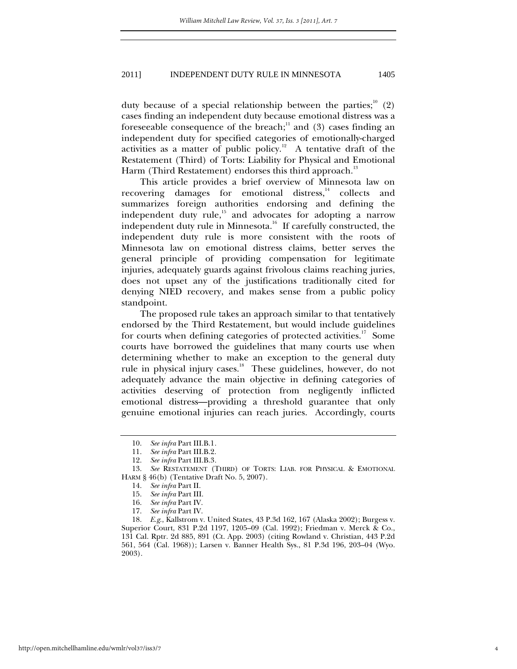duty because of a special relationship between the parties;  $(2)$ cases finding an independent duty because emotional distress was a foreseeable consequence of the breach;<sup>11</sup> and (3) cases finding an independent duty for specified categories of emotionally-charged activities as a matter of public policy.<sup>12</sup> A tentative draft of the Restatement (Third) of Torts: Liability for Physical and Emotional Harm (Third Restatement) endorses this third approach.<sup>13</sup>

This article provides a brief overview of Minnesota law on recovering damages for emotional distress,<sup>14</sup> collects and summarizes foreign authorities endorsing and defining the independent duty rule, $15$  and advocates for adopting a narrow independent duty rule in Minnesota.<sup>16</sup> If carefully constructed, the independent duty rule is more consistent with the roots of Minnesota law on emotional distress claims, better serves the general principle of providing compensation for legitimate injuries, adequately guards against frivolous claims reaching juries, does not upset any of the justifications traditionally cited for denying NIED recovery, and makes sense from a public policy standpoint.

The proposed rule takes an approach similar to that tentatively endorsed by the Third Restatement, but would include guidelines for courts when defining categories of protected activities.<sup>17</sup> Some courts have borrowed the guidelines that many courts use when determining whether to make an exception to the general duty rule in physical injury cases.<sup>18</sup> These guidelines, however, do not adequately advance the main objective in defining categories of activities deserving of protection from negligently inflicted emotional distress—providing a threshold guarantee that only genuine emotional injuries can reach juries. Accordingly, courts

 18. *E.g*., Kallstrom v. United States, 43 P.3d 162, 167 (Alaska 2002); Burgess v. Superior Court, 831 P.2d 1197, 1205–09 (Cal. 1992); Friedman v. Merck & Co., 131 Cal. Rptr. 2d 885, 891 (Ct. App. 2003) (citing Rowland v. Christian, 443 P.2d 561, 564 (Cal. 1968)); Larsen v. Banner Health Sys., 81 P.3d 196, 203–04 (Wyo. 2003).

 <sup>10.</sup> *See infra* Part III.B.1*.*

 <sup>11.</sup> *See infra* Part III.B.2.

 <sup>12.</sup> *See infra* Part III.B.3*.*

 <sup>13.</sup> *See* RESTATEMENT (THIRD) OF TORTS: LIAB. FOR PHYSICAL & EMOTIONAL HARM § 46(b) (Tentative Draft No. 5, 2007).

 <sup>14.</sup> *See infra* Part II.

 <sup>15.</sup> *See infra* Part III.

 <sup>16.</sup> *See infra* Part IV.

 <sup>17.</sup> *See infra* Part IV.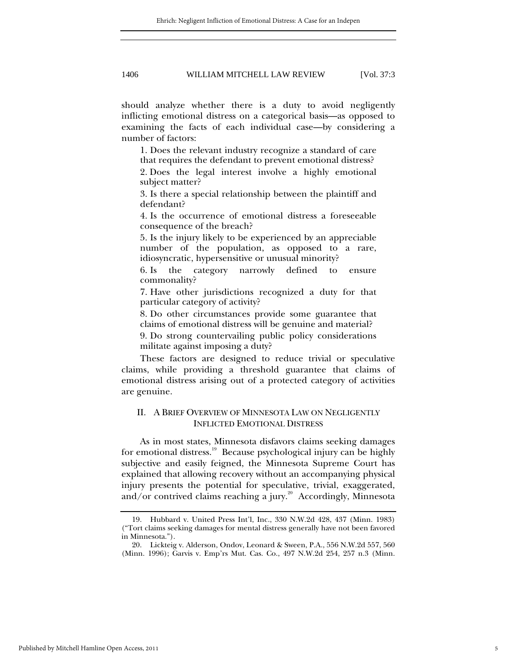should analyze whether there is a duty to avoid negligently inflicting emotional distress on a categorical basis—as opposed to examining the facts of each individual case—by considering a number of factors:

1. Does the relevant industry recognize a standard of care that requires the defendant to prevent emotional distress? 2. Does the legal interest involve a highly emotional subject matter?

3. Is there a special relationship between the plaintiff and defendant?

4. Is the occurrence of emotional distress a foreseeable consequence of the breach?

5. Is the injury likely to be experienced by an appreciable number of the population, as opposed to a rare, idiosyncratic, hypersensitive or unusual minority?

6. Is the category narrowly defined to ensure commonality?

7. Have other jurisdictions recognized a duty for that particular category of activity?

8. Do other circumstances provide some guarantee that claims of emotional distress will be genuine and material?

9. Do strong countervailing public policy considerations militate against imposing a duty?

These factors are designed to reduce trivial or speculative claims, while providing a threshold guarantee that claims of emotional distress arising out of a protected category of activities are genuine.

# II. A BRIEF OVERVIEW OF MINNESOTA LAW ON NEGLIGENTLY INFLICTED EMOTIONAL DISTRESS

As in most states, Minnesota disfavors claims seeking damages for emotional distress.<sup>19</sup> Because psychological injury can be highly subjective and easily feigned, the Minnesota Supreme Court has explained that allowing recovery without an accompanying physical injury presents the potential for speculative, trivial, exaggerated, and/or contrived claims reaching a jury.<sup>20</sup> Accordingly, Minnesota

 <sup>19.</sup> Hubbard v. United Press Int'l, Inc., 330 N.W.2d 428, 437 (Minn. 1983) ("Tort claims seeking damages for mental distress generally have not been favored in Minnesota.").

 <sup>20.</sup> Lickteig v. Alderson, Ondov, Leonard & Sween, P.A., 556 N.W.2d 557, 560 (Minn. 1996); Garvis v. Emp'rs Mut. Cas. Co., 497 N.W.2d 254, 257 n.3 (Minn.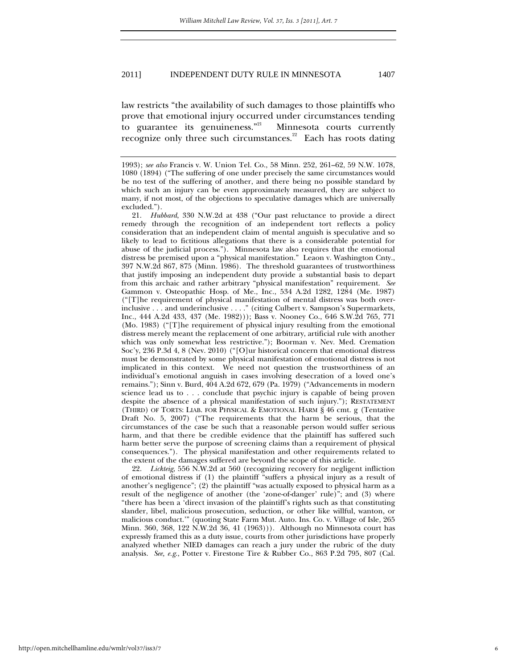law restricts "the availability of such damages to those plaintiffs who prove that emotional injury occurred under circumstances tending to guarantee its genuineness."<sup>21</sup> Minnesota courts currently recognize only three such circumstances.<sup>22</sup> Each has roots dating

 21. *Hubbard*, 330 N.W.2d at 438 ("Our past reluctance to provide a direct remedy through the recognition of an independent tort reflects a policy consideration that an independent claim of mental anguish is speculative and so likely to lead to fictitious allegations that there is a considerable potential for abuse of the judicial process."). Minnesota law also requires that the emotional distress be premised upon a "physical manifestation." Leaon v. Washington Cnty., 397 N.W.2d 867, 875 (Minn. 1986). The threshold guarantees of trustworthiness that justify imposing an independent duty provide a substantial basis to depart from this archaic and rather arbitrary "physical manifestation" requirement. *See*  Gammon v. Osteopathic Hosp. of Me., Inc., 534 A.2d 1282, 1284 (Me. 1987) ("[T]he requirement of physical manifestation of mental distress was both overinclusive . . . and underinclusive . . . ." (citing Culbert v. Sampson's Supermarkets, Inc., 444 A.2d 433, 437 (Me. 1982))); Bass v. Nooney Co., 646 S.W.2d 765, 771 (Mo. 1983) ("[T]he requirement of physical injury resulting from the emotional distress merely meant the replacement of one arbitrary, artificial rule with another which was only somewhat less restrictive."); Boorman v. Nev. Med. Cremation Soc'y, 236 P.3d 4, 8 (Nev. 2010) ("[O]ur historical concern that emotional distress must be demonstrated by some physical manifestation of emotional distress is not implicated in this context. We need not question the trustworthiness of an individual's emotional anguish in cases involving desecration of a loved one's remains."); Sinn v. Burd, 404 A.2d 672, 679 (Pa. 1979) ("Advancements in modern science lead us to . . . conclude that psychic injury is capable of being proven despite the absence of a physical manifestation of such injury."); RESTATEMENT (THIRD) OF TORTS: LIAB. FOR PHYSICAL & EMOTIONAL HARM § 46 cmt. g (Tentative Draft No. 5, 2007) ("The requirements that the harm be serious, that the circumstances of the case be such that a reasonable person would suffer serious harm, and that there be credible evidence that the plaintiff has suffered such harm better serve the purpose of screening claims than a requirement of physical consequences."). The physical manifestation and other requirements related to the extent of the damages suffered are beyond the scope of this article.

 22. *Lickteig*, 556 N.W.2d at 560 (recognizing recovery for negligent infliction of emotional distress if (1) the plaintiff "suffers a physical injury as a result of another's negligence"; (2) the plaintiff "was actually exposed to physical harm as a result of the negligence of another (the 'zone-of-danger' rule)"; and (3) where "there has been a 'direct invasion of the plaintiff's rights such as that constituting slander, libel, malicious prosecution, seduction, or other like willful, wanton, or malicious conduct.'" (quoting State Farm Mut. Auto. Ins. Co. v. Village of Isle, 265 Minn. 360, 368, 122 N.W.2d 36, 41 (1963))). Although no Minnesota court has expressly framed this as a duty issue, courts from other jurisdictions have properly analyzed whether NIED damages can reach a jury under the rubric of the duty analysis. *See, e.g*., Potter v. Firestone Tire & Rubber Co., 863 P.2d 795, 807 (Cal.

<sup>1993);</sup> *see also* Francis v. W. Union Tel. Co., 58 Minn. 252, 261–62, 59 N.W. 1078, 1080 (1894) ("The suffering of one under precisely the same circumstances would be no test of the suffering of another, and there being no possible standard by which such an injury can be even approximately measured, they are subject to many, if not most, of the objections to speculative damages which are universally excluded.").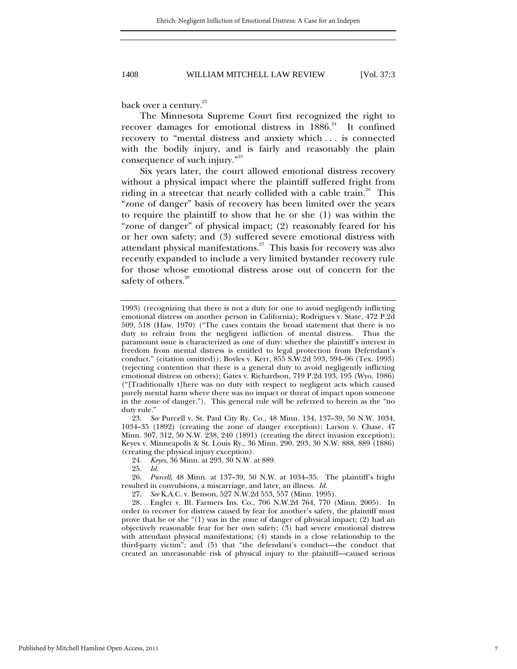back over a century.<sup>23</sup>

The Minnesota Supreme Court first recognized the right to recover damages for emotional distress in  $1886.<sup>24</sup>$  It confined recovery to "mental distress and anxiety which . . . is connected with the bodily injury, and is fairly and reasonably the plain consequence of such injury."25

Six years later, the court allowed emotional distress recovery without a physical impact where the plaintiff suffered fright from riding in a streetcar that nearly collided with a cable train.<sup>26</sup> This "zone of danger" basis of recovery has been limited over the years to require the plaintiff to show that he or she (1) was within the "zone of danger" of physical impact; (2) reasonably feared for his or her own safety; and (3) suffered severe emotional distress with attendant physical manifestations. $27$  This basis for recovery was also recently expanded to include a very limited bystander recovery rule for those whose emotional distress arose out of concern for the safety of others.<sup>28</sup>

 23. *See* Purcell v. St. Paul City Ry. Co., 48 Minn. 134, 137–39, 50 N.W. 1034, 1034–35 (1892) (creating the zone of danger exception); Larson v. Chase, 47 Minn. 307, 312, 50 N.W. 238, 240 (1891) (creating the direct invasion exception); Keyes v. Minneapolis & St. Louis Ry., 36 Minn. 290, 293, 30 N.W. 888, 889 (1886) (creating the physical injury exception).

24. *Keyes*, 36 Minn. at 293, 30 N.W. at 889.

25. *Id.*

*Purcell*, 48 Minn. at 137–39, 50 N.W. at 1034–35. The plaintiff's fright resulted in convulsions, a miscarriage, and later, an illness. *Id.*

27. *See* K.A.C. v. Benson, 527 N.W.2d 553, 557 (Minn. 1995).

 28. Engler v. Ill. Farmers Ins. Co., 706 N.W.2d 764, 770 (Minn. 2005). In order to recover for distress caused by fear for another's safety, the plaintiff must prove that he or she "(1) was in the zone of danger of physical impact; (2) had an objectively reasonable fear for her own safety; (3) had severe emotional distress with attendant physical manifestations; (4) stands in a close relationship to the third-party victim"; and (5) that "the defendant's conduct—the conduct that created an unreasonable risk of physical injury to the plaintiff—caused serious

<sup>1993) (</sup>recognizing that there is not a duty for one to avoid negligently inflicting emotional distress on another person in California); Rodrigues v. State, 472 P.2d 509, 518 (Haw. 1970) ("The cases contain the broad statement that there is no duty to refrain from the negligent infliction of mental distress. Thus the paramount issue is characterized as one of duty: whether the plaintiff's interest in freedom from mental distress is entitled to legal protection from Defendant's conduct." (citation omitted)); Boyles v. Kerr, 855 S.W.2d 593, 594–96 (Tex. 1993) (rejecting contention that there is a general duty to avoid negligently inflicting emotional distress on others); Gates v. Richardson, 719 P.2d 193, 195 (Wyo. 1986) ("[Traditionally t]here was no duty with respect to negligent acts which caused purely mental harm where there was no impact or threat of impact upon someone in the zone of danger."). This general rule will be referred to herein as the "no duty rule."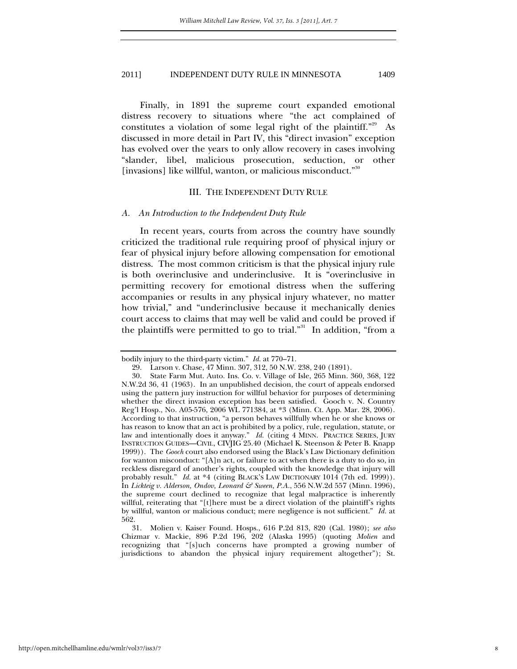Finally, in 1891 the supreme court expanded emotional distress recovery to situations where "the act complained of constitutes a violation of some legal right of the plaintiff."<sup>29</sup> As discussed in more detail in Part IV, this "direct invasion" exception has evolved over the years to only allow recovery in cases involving "slander, libel, malicious prosecution, seduction, or other [invasions] like willful, wanton, or malicious misconduct."<sup>30</sup>

#### III. THE INDEPENDENT DUTY RULE

#### *A. An Introduction to the Independent Duty Rule*

In recent years, courts from across the country have soundly criticized the traditional rule requiring proof of physical injury or fear of physical injury before allowing compensation for emotional distress. The most common criticism is that the physical injury rule is both overinclusive and underinclusive. It is "overinclusive in permitting recovery for emotional distress when the suffering accompanies or results in any physical injury whatever, no matter how trivial," and "underinclusive because it mechanically denies court access to claims that may well be valid and could be proved if the plaintiffs were permitted to go to trial."<sup>31</sup> In addition, "from a

bodily injury to the third-party victim." *Id.* at 770–71.

 <sup>29.</sup> Larson v. Chase, 47 Minn. 307, 312, 50 N.W. 238, 240 (1891).

 <sup>30.</sup> State Farm Mut. Auto. Ins. Co. v. Village of Isle, 265 Minn. 360, 368, 122 N.W.2d 36, 41 (1963). In an unpublished decision, the court of appeals endorsed using the pattern jury instruction for willful behavior for purposes of determining whether the direct invasion exception has been satisfied. Gooch v. N. Country Reg'l Hosp., No. A05-576, 2006 WL 771384, at \*3 (Minn. Ct. App. Mar. 28, 2006). According to that instruction, "a person behaves willfully when he or she knows or has reason to know that an act is prohibited by a policy, rule, regulation, statute, or law and intentionally does it anyway." *Id.* (citing 4 MINN. PRACTICE SERIES, JURY INSTRUCTION GUIDES—CIVIL, CIVJIG 25.40 (Michael K. Steenson & Peter B. Knapp 1999)). The *Gooch* court also endorsed using the Black's Law Dictionary definition for wanton misconduct: "[A]n act, or failure to act when there is a duty to do so, in reckless disregard of another's rights, coupled with the knowledge that injury will probably result." *Id.* at \*4 (citing BLACK'S LAW DICTIONARY 1014 (7th ed. 1999)). In *Lickteig v. Alderson, Ondov, Leonard & Sween, P.A.*, 556 N.W.2d 557 (Minn. 1996), the supreme court declined to recognize that legal malpractice is inherently willful, reiterating that "[t]here must be a direct violation of the plaintiff's rights by willful, wanton or malicious conduct; mere negligence is not sufficient." *Id.* at 562.

 <sup>31.</sup> Molien v. Kaiser Found. Hosps., 616 P.2d 813, 820 (Cal. 1980); *see also*  Chizmar v. Mackie, 896 P.2d 196, 202 (Alaska 1995) (quoting *Molien* and recognizing that "[s]uch concerns have prompted a growing number of jurisdictions to abandon the physical injury requirement altogether"); St.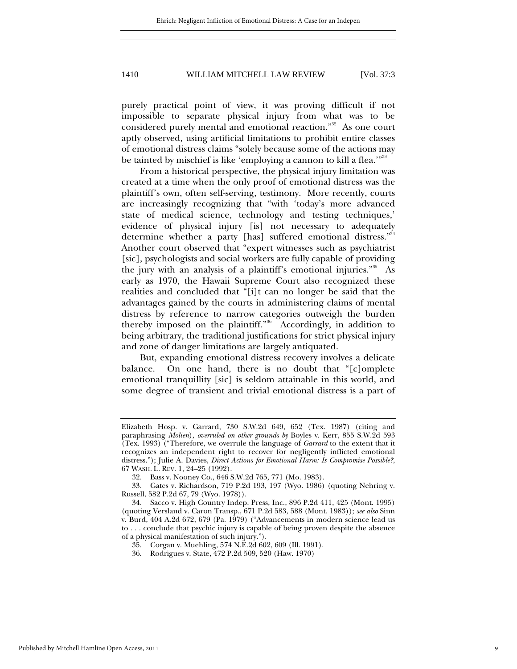purely practical point of view, it was proving difficult if not impossible to separate physical injury from what was to be considered purely mental and emotional reaction."<sup>32</sup> As one court aptly observed, using artificial limitations to prohibit entire classes of emotional distress claims "solely because some of the actions may be tainted by mischief is like 'employing a cannon to kill a flea.'"<sup>33</sup>

From a historical perspective, the physical injury limitation was created at a time when the only proof of emotional distress was the plaintiff's own, often self-serving, testimony. More recently, courts are increasingly recognizing that "with 'today's more advanced state of medical science, technology and testing techniques,' evidence of physical injury [is] not necessary to adequately determine whether a party [has] suffered emotional distress."<sup>34</sup> Another court observed that "expert witnesses such as psychiatrist [sic], psychologists and social workers are fully capable of providing the jury with an analysis of a plaintiff's emotional injuries."<sup>35</sup> As early as 1970, the Hawaii Supreme Court also recognized these realities and concluded that "[i]t can no longer be said that the advantages gained by the courts in administering claims of mental distress by reference to narrow categories outweigh the burden thereby imposed on the plaintiff."36 Accordingly, in addition to being arbitrary, the traditional justifications for strict physical injury and zone of danger limitations are largely antiquated.

But, expanding emotional distress recovery involves a delicate balance. On one hand, there is no doubt that "[c]omplete emotional tranquillity [sic] is seldom attainable in this world, and some degree of transient and trivial emotional distress is a part of

Elizabeth Hosp. v. Garrard, 730 S.W.2d 649, 652 (Tex. 1987) (citing and paraphrasing *Molien*), *overruled on other grounds by* Boyles v. Kerr, 855 S.W.2d 593 (Tex. 1993) ("Therefore, we overrule the language of *Garrard* to the extent that it recognizes an independent right to recover for negligently inflicted emotional distress."); Julie A. Davies, *Direct Actions for Emotional Harm: Is Compromise Possible?*, 67 WASH. L. REV. 1, 24–25 (1992).

 <sup>32.</sup> Bass v. Nooney Co., 646 S.W.2d 765, 771 (Mo. 1983).

 <sup>33.</sup> Gates v. Richardson, 719 P.2d 193, 197 (Wyo. 1986) (quoting Nehring v. Russell, 582 P.2d 67, 79 (Wyo. 1978)).

 <sup>34.</sup> Sacco v. High Country Indep. Press, Inc., 896 P.2d 411, 425 (Mont. 1995) (quoting Versland v. Caron Transp., 671 P.2d 583, 588 (Mont. 1983)); *see also* Sinn v. Burd, 404 A.2d 672, 679 (Pa. 1979) ("Advancements in modern science lead us to . . . conclude that psychic injury is capable of being proven despite the absence of a physical manifestation of such injury.").

 <sup>35.</sup> Corgan v. Muehling, 574 N.E.2d 602, 609 (Ill. 1991).

 <sup>36.</sup> Rodrigues v. State, 472 P.2d 509, 520 (Haw. 1970)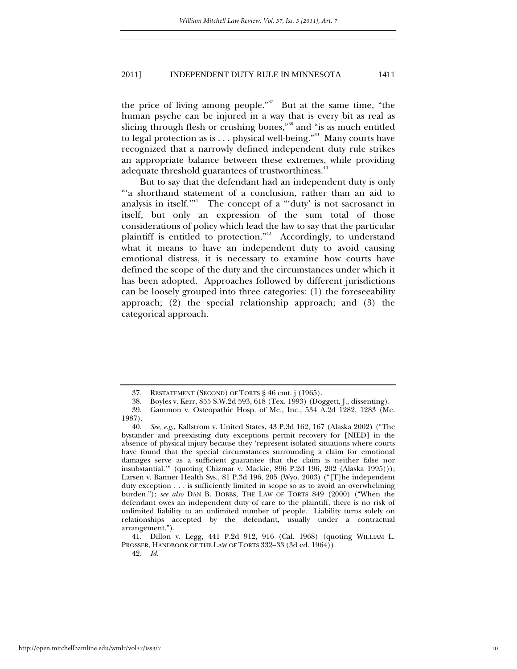the price of living among people."<sup>37</sup> But at the same time, "the human psyche can be injured in a way that is every bit as real as slicing through flesh or crushing bones,"38 and "is as much entitled to legal protection as is . . . physical well-being."39 Many courts have recognized that a narrowly defined independent duty rule strikes an appropriate balance between these extremes, while providing adequate threshold guarantees of trustworthiness.<sup>40</sup>

But to say that the defendant had an independent duty is only "'a shorthand statement of a conclusion, rather than an aid to analysis in itself."<sup>41</sup> The concept of a "'duty' is not sacrosanct in itself, but only an expression of the sum total of those considerations of policy which lead the law to say that the particular plaintiff is entitled to protection."<sup>42</sup> Accordingly, to understand what it means to have an independent duty to avoid causing emotional distress, it is necessary to examine how courts have defined the scope of the duty and the circumstances under which it has been adopted. Approaches followed by different jurisdictions can be loosely grouped into three categories: (1) the foreseeability approach; (2) the special relationship approach; and (3) the categorical approach.

42. *Id.*

 <sup>37.</sup> RESTATEMENT (SECOND) OF TORTS § 46 cmt. j (1965).

 <sup>38.</sup> Boyles v. Kerr, 855 S.W.2d 593, 618 (Tex. 1993) (Doggett, J., dissenting).

 <sup>39.</sup> Gammon v. Osteopathic Hosp. of Me., Inc., 534 A.2d 1282, 1283 (Me. 1987).

 <sup>40.</sup> *See, e.g*., Kallstrom v. United States, 43 P.3d 162, 167 (Alaska 2002) ("The bystander and preexisting duty exceptions permit recovery for [NIED] in the absence of physical injury because they 'represent isolated situations where courts have found that the special circumstances surrounding a claim for emotional damages serve as a sufficient guarantee that the claim is neither false nor insubstantial.'" (quoting Chizmar v. Mackie, 896 P.2d 196, 202 (Alaska 1995))); Larsen v. Banner Health Sys., 81 P.3d 196, 205 (Wyo. 2003) ("[T]he independent duty exception . . . is sufficiently limited in scope so as to avoid an overwhelming burden."); *see also* DAN B. DOBBS, THE LAW OF TORTS 849 (2000) ("When the defendant owes an independent duty of care to the plaintiff, there is no risk of unlimited liability to an unlimited number of people. Liability turns solely on relationships accepted by the defendant, usually under a contractual arrangement.").

 <sup>41.</sup> Dillon v. Legg, 441 P.2d 912, 916 (Cal. 1968) (quoting WILLIAM L. PROSSER, HANDBOOK OF THE LAW OF TORTS 332–33 (3d ed. 1964)).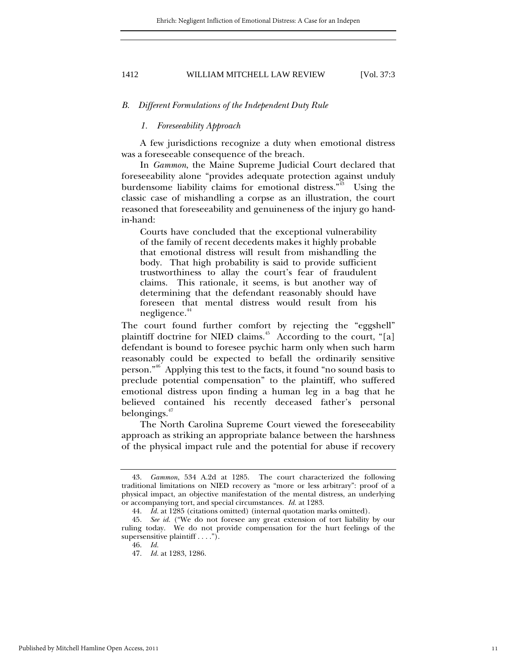#### *B. Different Formulations of the Independent Duty Rule*

# *1. Foreseeability Approach*

A few jurisdictions recognize a duty when emotional distress was a foreseeable consequence of the breach.

In *Gammon*, the Maine Supreme Judicial Court declared that foreseeability alone "provides adequate protection against unduly burdensome liability claims for emotional distress."<sup>43</sup> Using the classic case of mishandling a corpse as an illustration, the court reasoned that foreseeability and genuineness of the injury go handin-hand:

Courts have concluded that the exceptional vulnerability of the family of recent decedents makes it highly probable that emotional distress will result from mishandling the body. That high probability is said to provide sufficient trustworthiness to allay the court's fear of fraudulent claims. This rationale, it seems, is but another way of determining that the defendant reasonably should have foreseen that mental distress would result from his negligence.<sup>44</sup>

The court found further comfort by rejecting the "eggshell" plaintiff doctrine for NIED claims.<sup> $45$ </sup> According to the court, "[a] defendant is bound to foresee psychic harm only when such harm reasonably could be expected to befall the ordinarily sensitive person."46 Applying this test to the facts, it found "no sound basis to preclude potential compensation" to the plaintiff, who suffered emotional distress upon finding a human leg in a bag that he believed contained his recently deceased father's personal belongings. $47$ 

The North Carolina Supreme Court viewed the foreseeability approach as striking an appropriate balance between the harshness of the physical impact rule and the potential for abuse if recovery

 <sup>43.</sup> *Gammon*, 534 A.2d at 1285. The court characterized the following traditional limitations on NIED recovery as "more or less arbitrary": proof of a physical impact, an objective manifestation of the mental distress, an underlying or accompanying tort, and special circumstances. *Id.* at 1283.

 <sup>44.</sup> *Id.* at 1285 (citations omitted) (internal quotation marks omitted).

 <sup>45.</sup> *See id.* ("We do not foresee any great extension of tort liability by our ruling today. We do not provide compensation for the hurt feelings of the supersensitive plaintiff . . . .").

 <sup>46.</sup> *Id.*

 <sup>47.</sup> *Id.* at 1283, 1286.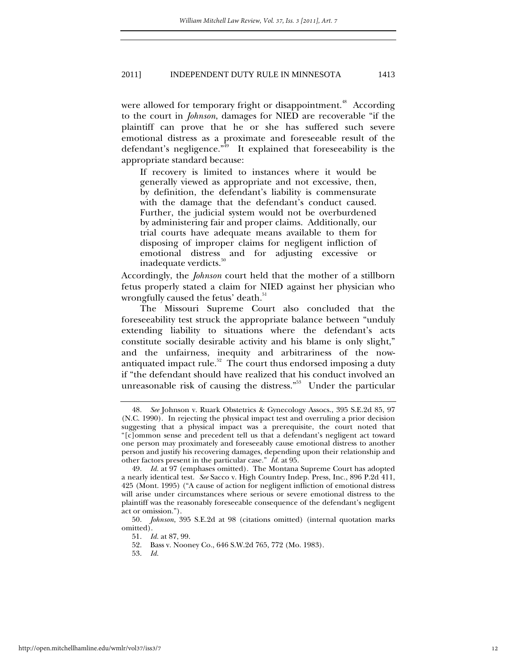were allowed for temporary fright or disappointment.<sup>48</sup> According to the court in *Johnson*, damages for NIED are recoverable "if the plaintiff can prove that he or she has suffered such severe emotional distress as a proximate and foreseeable result of the defendant's negligence. $\mathbb{R}^{\overline{49}}$  It explained that foreseeability is the appropriate standard because:

If recovery is limited to instances where it would be generally viewed as appropriate and not excessive, then, by definition, the defendant's liability is commensurate with the damage that the defendant's conduct caused. Further, the judicial system would not be overburdened by administering fair and proper claims. Additionally, our trial courts have adequate means available to them for disposing of improper claims for negligent infliction of emotional distress and for adjusting excessive or inadequate verdicts. $^{50}$ 

Accordingly, the *Johnson* court held that the mother of a stillborn fetus properly stated a claim for NIED against her physician who wrongfully caused the fetus' death.<sup>51</sup>

The Missouri Supreme Court also concluded that the foreseeability test struck the appropriate balance between "unduly extending liability to situations where the defendant's acts constitute socially desirable activity and his blame is only slight," and the unfairness, inequity and arbitrariness of the nowantiquated impact rule.<sup>52</sup> The court thus endorsed imposing a duty if "the defendant should have realized that his conduct involved an unreasonable risk of causing the distress."<sup>53</sup> Under the particular

 <sup>48.</sup> *See* Johnson v. Ruark Obstetrics & Gynecology Assocs., 395 S.E.2d 85, 97 (N.C. 1990). In rejecting the physical impact test and overruling a prior decision suggesting that a physical impact was a prerequisite, the court noted that "[c]ommon sense and precedent tell us that a defendant's negligent act toward one person may proximately and foreseeably cause emotional distress to another person and justify his recovering damages, depending upon their relationship and other factors present in the particular case." *Id.* at 95.

 <sup>49.</sup> *Id.* at 97 (emphases omitted). The Montana Supreme Court has adopted a nearly identical test. *See* Sacco v. High Country Indep. Press, Inc., 896 P.2d 411, 425 (Mont. 1995) ("A cause of action for negligent infliction of emotional distress will arise under circumstances where serious or severe emotional distress to the plaintiff was the reasonably foreseeable consequence of the defendant's negligent act or omission.").

 <sup>50.</sup> *Johnson*, 395 S.E.2d at 98 (citations omitted) (internal quotation marks omitted).

 <sup>51.</sup> *Id.* at 87, 99.

 <sup>52.</sup> Bass v. Nooney Co., 646 S.W.2d 765, 772 (Mo. 1983).

 <sup>53.</sup> *Id.*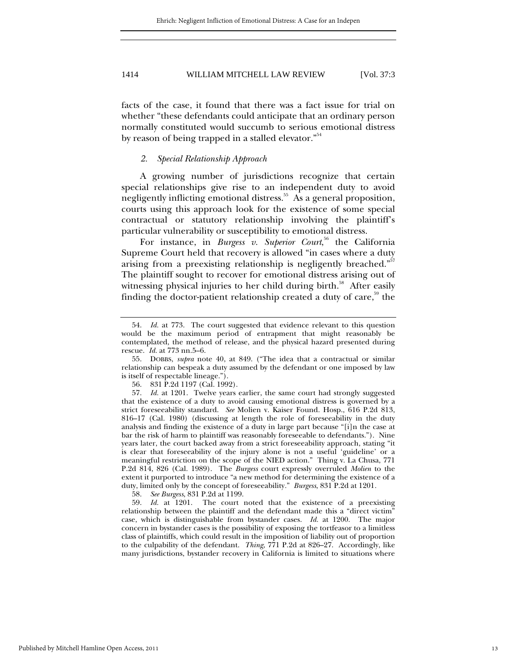facts of the case, it found that there was a fact issue for trial on whether "these defendants could anticipate that an ordinary person normally constituted would succumb to serious emotional distress by reason of being trapped in a stalled elevator."<sup>54</sup>

# *2. Special Relationship Approach*

A growing number of jurisdictions recognize that certain special relationships give rise to an independent duty to avoid negligently inflicting emotional distress.<sup>55</sup> As a general proposition, courts using this approach look for the existence of some special contractual or statutory relationship involving the plaintiff's particular vulnerability or susceptibility to emotional distress.

For instance, in *Burgess v. Superior Court*,<sup>56</sup> the California Supreme Court held that recovery is allowed "in cases where a duty arising from a preexisting relationship is negligently breached."<sup>57</sup> The plaintiff sought to recover for emotional distress arising out of witnessing physical injuries to her child during birth. $58$  After easily finding the doctor-patient relationship created a duty of care,<sup>59</sup> the

56. 831 P.2d 1197 (Cal. 1992).

58. *See Burgess*, 831 P.2d at 1199.

 59. *Id.* at 1201. The court noted that the existence of a preexisting relationship between the plaintiff and the defendant made this a "direct victim" case, which is distinguishable from bystander cases. *Id.* at 1200. The major concern in bystander cases is the possibility of exposing the tortfeasor to a limitless class of plaintiffs, which could result in the imposition of liability out of proportion to the culpability of the defendant. *Thing*, 771 P.2d at 826–27. Accordingly, like many jurisdictions, bystander recovery in California is limited to situations where

 <sup>54.</sup> *Id.* at 773. The court suggested that evidence relevant to this question would be the maximum period of entrapment that might reasonably be contemplated, the method of release, and the physical hazard presented during rescue. *Id.* at 773 nn.5–6.

 <sup>55.</sup> DOBBS, *supra* note 40, at 849. ("The idea that a contractual or similar relationship can bespeak a duty assumed by the defendant or one imposed by law is itself of respectable lineage.").

 <sup>57.</sup> *Id.* at 1201. Twelve years earlier, the same court had strongly suggested that the existence of a duty to avoid causing emotional distress is governed by a strict foreseeability standard. *See* Molien v. Kaiser Found. Hosp., 616 P.2d 813, 816–17 (Cal. 1980) (discussing at length the role of foreseeability in the duty analysis and finding the existence of a duty in large part because "[i]n the case at bar the risk of harm to plaintiff was reasonably foreseeable to defendants."). Nine years later, the court backed away from a strict foreseeability approach, stating "it is clear that foreseeability of the injury alone is not a useful 'guideline' or a meaningful restriction on the scope of the NIED action." Thing v. La Chusa, 771 P.2d 814, 826 (Cal. 1989). The *Burgess* court expressly overruled *Molien* to the extent it purported to introduce "a new method for determining the existence of a duty, limited only by the concept of foreseeability*.*" *Burgess*, 831 P.2d at 1201*.*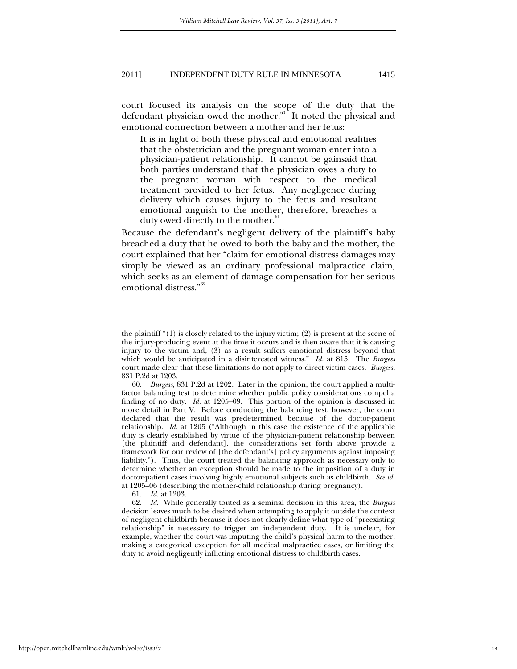court focused its analysis on the scope of the duty that the defendant physician owed the mother.<sup>60</sup> It noted the physical and emotional connection between a mother and her fetus:

It is in light of both these physical and emotional realities that the obstetrician and the pregnant woman enter into a physician-patient relationship. It cannot be gainsaid that both parties understand that the physician owes a duty to the pregnant woman with respect to the medical treatment provided to her fetus. Any negligence during delivery which causes injury to the fetus and resultant emotional anguish to the mother, therefore, breaches a duty owed directly to the mother.<sup>61</sup>

Because the defendant's negligent delivery of the plaintiff's baby breached a duty that he owed to both the baby and the mother, the court explained that her "claim for emotional distress damages may simply be viewed as an ordinary professional malpractice claim, which seeks as an element of damage compensation for her serious emotional distress."<sup>62</sup>

61. *Id.* at 1203.

the plaintiff " $(1)$  is closely related to the injury victim;  $(2)$  is present at the scene of the injury-producing event at the time it occurs and is then aware that it is causing injury to the victim and, (3) as a result suffers emotional distress beyond that which would be anticipated in a disinterested witness." *Id.* at 815. The *Burgess* court made clear that these limitations do not apply to direct victim cases. *Burgess*, 831 P.2d at 1203.

 <sup>60.</sup> *Burgess*, 831 P.2d at 1202. Later in the opinion, the court applied a multifactor balancing test to determine whether public policy considerations compel a finding of no duty. *Id.* at 1205–09. This portion of the opinion is discussed in more detail in Part V. Before conducting the balancing test, however, the court declared that the result was predetermined because of the doctor-patient relationship. *Id.* at 1205 ("Although in this case the existence of the applicable duty is clearly established by virtue of the physician-patient relationship between [the plaintiff and defendant], the considerations set forth above provide a framework for our review of [the defendant's] policy arguments against imposing liability."). Thus, the court treated the balancing approach as necessary only to determine whether an exception should be made to the imposition of a duty in doctor-patient cases involving highly emotional subjects such as childbirth. *See id.* at 1205–06 (describing the mother-child relationship during pregnancy).

 <sup>62.</sup> *Id.* While generally touted as a seminal decision in this area, the *Burgess* decision leaves much to be desired when attempting to apply it outside the context of negligent childbirth because it does not clearly define what type of "preexisting relationship" is necessary to trigger an independent duty. It is unclear, for example, whether the court was imputing the child's physical harm to the mother, making a categorical exception for all medical malpractice cases, or limiting the duty to avoid negligently inflicting emotional distress to childbirth cases.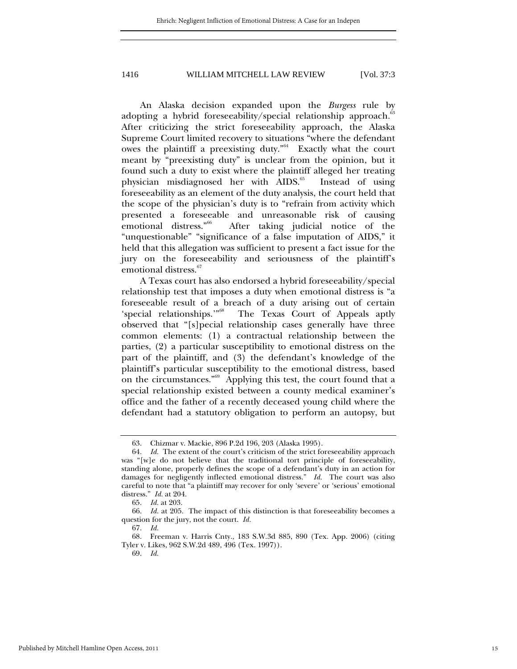An Alaska decision expanded upon the *Burgess* rule by adopting a hybrid foreseeability/special relationship approach. $^{63}$ After criticizing the strict foreseeability approach, the Alaska Supreme Court limited recovery to situations "where the defendant owes the plaintiff a preexisting duty."<sup>64</sup> Exactly what the court meant by "preexisting duty" is unclear from the opinion, but it found such a duty to exist where the plaintiff alleged her treating physician misdiagnosed her with AIDS.<sup>65</sup> Instead of using foreseeability as an element of the duty analysis, the court held that the scope of the physician's duty is to "refrain from activity which presented a foreseeable and unreasonable risk of causing<br>emotional distress."<sup>66</sup> After taking judicial notice of the After taking judicial notice of the "unquestionable" "significance of a false imputation of AIDS," it held that this allegation was sufficient to present a fact issue for the jury on the foreseeability and seriousness of the plaintiff's emotional distress.<sup>67</sup>

A Texas court has also endorsed a hybrid foreseeability/special relationship test that imposes a duty when emotional distress is "a foreseeable result of a breach of a duty arising out of certain 'special relationships.'"<sup>68</sup> The Texas Court of Appeals aptly observed that "[s]pecial relationship cases generally have three common elements: (1) a contractual relationship between the parties, (2) a particular susceptibility to emotional distress on the part of the plaintiff, and (3) the defendant's knowledge of the plaintiff's particular susceptibility to the emotional distress, based on the circumstances."<sup>69</sup> Applying this test, the court found that a special relationship existed between a county medical examiner's office and the father of a recently deceased young child where the defendant had a statutory obligation to perform an autopsy, but

 <sup>63.</sup> Chizmar v. Mackie, 896 P.2d 196, 203 (Alaska 1995).

 <sup>64.</sup> *Id.* The extent of the court's criticism of the strict foreseeability approach was "[w]e do not believe that the traditional tort principle of foreseeability, standing alone, properly defines the scope of a defendant's duty in an action for damages for negligently inflected emotional distress." *Id.* The court was also careful to note that "a plaintiff may recover for only 'severe' or 'serious' emotional distress." *Id.* at 204.

 <sup>65.</sup> *Id.* at 203.

 <sup>66.</sup> *Id.* at 205. The impact of this distinction is that foreseeability becomes a question for the jury, not the court. *Id.*

 <sup>67.</sup> *Id.*

 <sup>68.</sup> Freeman v. Harris Cnty., 183 S.W.3d 885, 890 (Tex. App. 2006) (citing Tyler v. Likes, 962 S.W.2d 489, 496 (Tex. 1997)).

 <sup>69.</sup> *Id.*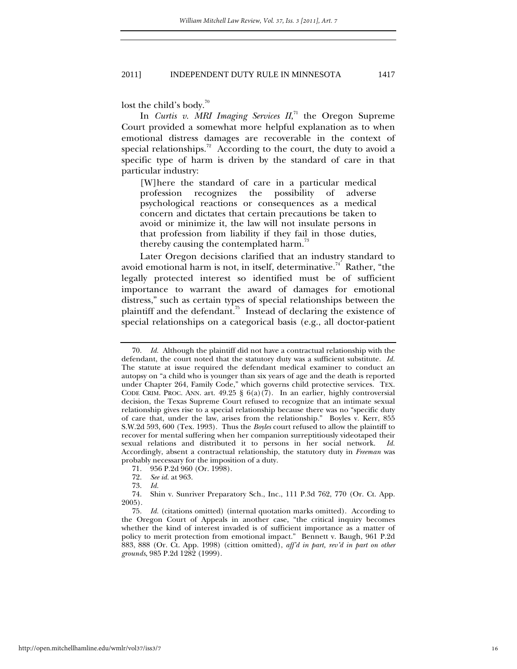lost the child's body.<sup>70</sup>

In *Curtis v. MRI Imaging Services II*, 71 the Oregon Supreme Court provided a somewhat more helpful explanation as to when emotional distress damages are recoverable in the context of special relationships.<sup>72</sup> According to the court, the duty to avoid a specific type of harm is driven by the standard of care in that particular industry:

[W]here the standard of care in a particular medical profession recognizes the possibility of adverse psychological reactions or consequences as a medical concern and dictates that certain precautions be taken to avoid or minimize it, the law will not insulate persons in that profession from liability if they fail in those duties, thereby causing the contemplated harm.<sup>73</sup>

 Later Oregon decisions clarified that an industry standard to avoid emotional harm is not, in itself, determinative.<sup>74</sup> Rather, "the legally protected interest so identified must be of sufficient importance to warrant the award of damages for emotional distress," such as certain types of special relationships between the plaintiff and the defendant.<sup>75</sup> Instead of declaring the existence of special relationships on a categorical basis (e.g., all doctor-patient

 <sup>70.</sup> *Id.* Although the plaintiff did not have a contractual relationship with the defendant, the court noted that the statutory duty was a sufficient substitute. *Id.* The statute at issue required the defendant medical examiner to conduct an autopsy on "a child who is younger than six years of age and the death is reported under Chapter 264, Family Code," which governs child protective services. TEX. CODE CRIM. PROC. ANN. art.  $49.25 \S 6(a)(7)$ . In an earlier, highly controversial decision, the Texas Supreme Court refused to recognize that an intimate sexual relationship gives rise to a special relationship because there was no "specific duty of care that, under the law, arises from the relationship." Boyles v. Kerr, 855 S.W.2d 593, 600 (Tex. 1993). Thus the *Boyles* court refused to allow the plaintiff to recover for mental suffering when her companion surreptitiously videotaped their sexual relations and distributed it to persons in her social network. *Id.* Accordingly, absent a contractual relationship, the statutory duty in *Freeman* was probably necessary for the imposition of a duty.

<sup>71. 956</sup> P.2d 960 (Or. 1998).

 <sup>72.</sup> *See id.* at 963.

 <sup>73.</sup> *Id.*

 <sup>74.</sup> Shin v. Sunriver Preparatory Sch., Inc., 111 P.3d 762, 770 (Or. Ct. App. 2005).

 <sup>75.</sup> *Id.* (citations omitted) (internal quotation marks omitted). According to the Oregon Court of Appeals in another case, "the critical inquiry becomes whether the kind of interest invaded is of sufficient importance as a matter of policy to merit protection from emotional impact." Bennett v. Baugh, 961 P.2d 883, 888 (Or. Ct. App. 1998) (cittion omitted), *aff'd in part, rev'd in part on other grounds*, 985 P.2d 1282 (1999).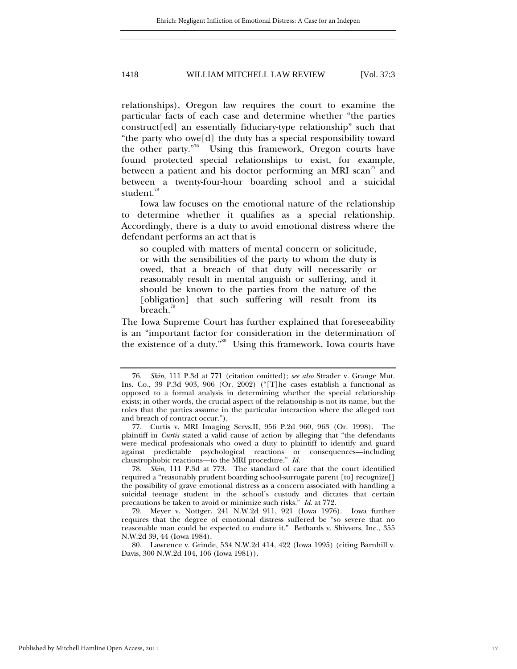relationships), Oregon law requires the court to examine the particular facts of each case and determine whether "the parties construct[ed] an essentially fiduciary-type relationship" such that "the party who owe[d] the duty has a special responsibility toward the other party."<sup>76</sup> Using this framework, Oregon courts have found protected special relationships to exist, for example, between a patient and his doctor performing an MRI scan<sup>77</sup> and between a twenty-four-hour boarding school and a suicidal student.<sup>78</sup>

Iowa law focuses on the emotional nature of the relationship to determine whether it qualifies as a special relationship. Accordingly, there is a duty to avoid emotional distress where the defendant performs an act that is

so coupled with matters of mental concern or solicitude, or with the sensibilities of the party to whom the duty is owed, that a breach of that duty will necessarily or reasonably result in mental anguish or suffering, and it should be known to the parties from the nature of the [obligation] that such suffering will result from its breach.<sup>19</sup>

The Iowa Supreme Court has further explained that foreseeability is an "important factor for consideration in the determination of the existence of a duty."<sup>80</sup> Using this framework, Iowa courts have

 <sup>76.</sup> *Shin*, 111 P.3d at 771 (citation omitted); *see also* Strader v. Grange Mut. Ins. Co., 39 P.3d 903, 906 (Or. 2002) ("[T]he cases establish a functional as opposed to a formal analysis in determining whether the special relationship exists; in other words, the crucial aspect of the relationship is not its name, but the roles that the parties assume in the particular interaction where the alleged tort and breach of contract occur.").

 <sup>77.</sup> Curtis v. MRI Imaging Servs.II, 956 P.2d 960, 963 (Or. 1998). The plaintiff in *Curtis* stated a valid cause of action by alleging that "the defendants were medical professionals who owed a duty to plaintiff to identify and guard against predictable psychological reactions or consequences—including claustrophobic reactions—to the MRI procedure." *Id.*

 <sup>78.</sup> *Shin*, 111 P.3d at 773. The standard of care that the court identified required a "reasonably prudent boarding school-surrogate parent [to] recognize[] the possibility of grave emotional distress as a concern associated with handling a suicidal teenage student in the school's custody and dictates that certain precautions be taken to avoid or minimize such risks." *Id.* at 772.

 <sup>79.</sup> Meyer v. Nottger, 241 N.W.2d 911, 921 (Iowa 1976). Iowa further requires that the degree of emotional distress suffered be "so severe that no reasonable man could be expected to endure it." Bethards v. Shivvers, Inc., 355 N.W.2d 39, 44 (Iowa 1984).

 <sup>80.</sup> Lawrence v. Grinde, 534 N.W.2d 414, 422 (Iowa 1995) (citing Barnhill v. Davis, 300 N.W.2d 104, 106 (Iowa 1981)).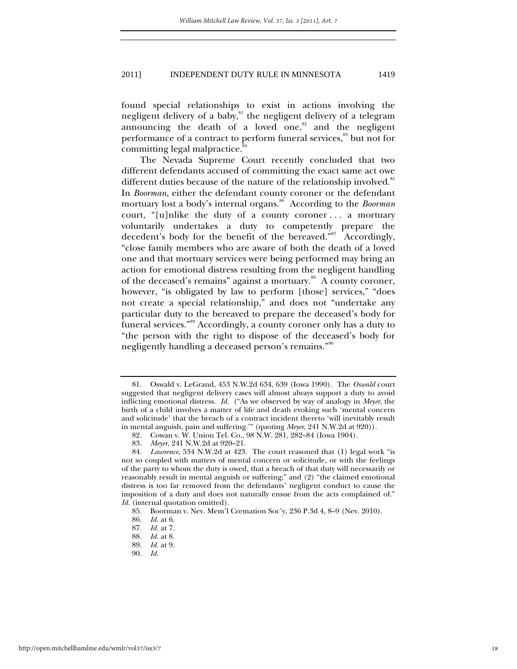found special relationships to exist in actions involving the negligent delivery of a baby,<sup>81</sup> the negligent delivery of a telegram announcing the death of a loved one, $82$  and the negligent performance of a contract to perform funeral services,<sup>83</sup> but not for committing legal malpractice.<sup>84</sup>

The Nevada Supreme Court recently concluded that two different defendants accused of committing the exact same act owe different duties because of the nature of the relationship involved.<sup>85</sup> In *Boorman*, either the defendant county coroner or the defendant mortuary lost a body's internal organs.<sup>86</sup> According to the *Boorman* court, "[u]nlike the duty of a county coroner . . . a mortuary voluntarily undertakes a duty to competently prepare the decedent's body for the benefit of the bereaved."<sup>87</sup> Accordingly, "close family members who are aware of both the death of a loved one and that mortuary services were being performed may bring an action for emotional distress resulting from the negligent handling of the deceased's remains" against a mortuary.<sup>88</sup> A county coroner, however, "is obligated by law to perform [those] services," "does not create a special relationship," and does not "undertake any particular duty to the bereaved to prepare the deceased's body for funeral services."89 Accordingly, a county coroner only has a duty to "the person with the right to dispose of the deceased's body for negligently handling a deceased person's remains."<sup>90</sup>

 <sup>81.</sup> Oswald v. LeGrand, 453 N.W.2d 634, 639 (Iowa 1990). The *Oswald* court suggested that negligent delivery cases will almost always support a duty to avoid inflicting emotional distress. *Id.* ("As we observed by way of analogy in *Meyer*, the birth of a child involves a matter of life and death evoking such 'mental concern and solicitude' that the breach of a contract incident thereto 'will inevitably result in mental anguish, pain and suffering.'" (quoting *Meyer*, 241 N.W.2d at 920)).

 <sup>82.</sup> Cowan v. W. Union Tel. Co., 98 N.W. 281, 282–84 (Iowa 1904).

 <sup>83.</sup> *Meyer*, 241 N.W.2d at 920–21.

 <sup>84.</sup> *Lawrence*, 534 N.W.2d at 423. The court reasoned that (1) legal work "is not so coupled with matters of mental concern or solicitude, or with the feelings of the party to whom the duty is owed, that a breach of that duty will necessarily or reasonably result in mental anguish or suffering;" and (2) "the claimed emotional distress is too far removed from the defendants' negligent conduct to cause the imposition of a duty and does not naturally ensue from the acts complained of." *Id.* (internal quotation omitted).

 <sup>85.</sup> Boorman v. Nev. Mem'l Cremation Soc'y, 236 P.3d 4, 8–9 (Nev. 2010).

 <sup>86.</sup> *Id.* at 6.

 <sup>87.</sup> *Id.* at 7.

 <sup>88.</sup> *Id.* at 8.

 <sup>89.</sup> *Id.* at 9.

 <sup>90.</sup> *Id.*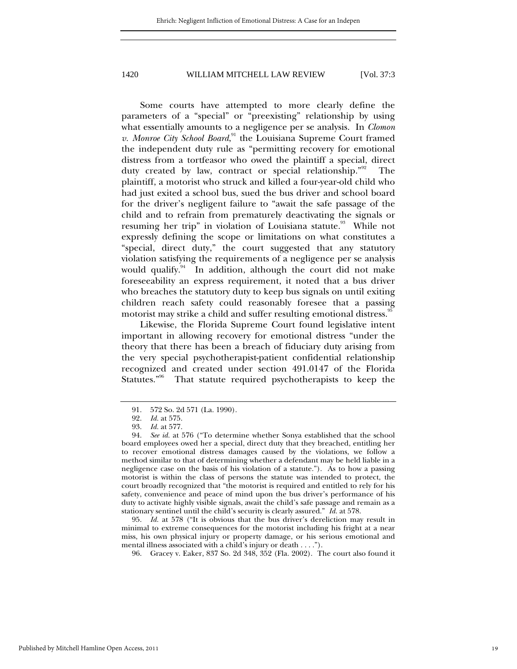Some courts have attempted to more clearly define the parameters of a "special" or "preexisting" relationship by using what essentially amounts to a negligence per se analysis. In *Clomon*  v. Monroe City School Board,<sup>91</sup> the Louisiana Supreme Court framed the independent duty rule as "permitting recovery for emotional distress from a tortfeasor who owed the plaintiff a special, direct duty created by law, contract or special relationship."<sup>92</sup> The plaintiff, a motorist who struck and killed a four-year-old child who had just exited a school bus, sued the bus driver and school board for the driver's negligent failure to "await the safe passage of the child and to refrain from prematurely deactivating the signals or resuming her trip" in violation of Louisiana statute.<sup>93</sup> While not expressly defining the scope or limitations on what constitutes a "special, direct duty," the court suggested that any statutory violation satisfying the requirements of a negligence per se analysis would qualify. $94$  In addition, although the court did not make foreseeability an express requirement, it noted that a bus driver who breaches the statutory duty to keep bus signals on until exiting children reach safety could reasonably foresee that a passing motorist may strike a child and suffer resulting emotional distress.<sup>35</sup>

Likewise, the Florida Supreme Court found legislative intent important in allowing recovery for emotional distress "under the theory that there has been a breach of fiduciary duty arising from the very special psychotherapist-patient confidential relationship recognized and created under section 491.0147 of the Florida Statutes."96 That statute required psychotherapists to keep the

 95. *Id.* at 578 ("It is obvious that the bus driver's dereliction may result in minimal to extreme consequences for the motorist including his fright at a near miss, his own physical injury or property damage, or his serious emotional and mental illness associated with a child's injury or death . . . .").

96. Gracey v. Eaker, 837 So. 2d 348, 352 (Fla. 2002). The court also found it

 <sup>91. 572</sup> So. 2d 571 (La. 1990).

 <sup>92.</sup> *Id.* at 575.

 <sup>93.</sup> *Id.* at 577.

 <sup>94.</sup> *See id.* at 576 ("To determine whether Sonya established that the school board employees owed her a special, direct duty that they breached, entitling her to recover emotional distress damages caused by the violations, we follow a method similar to that of determining whether a defendant may be held liable in a negligence case on the basis of his violation of a statute."). As to how a passing motorist is within the class of persons the statute was intended to protect, the court broadly recognized that "the motorist is required and entitled to rely for his safety, convenience and peace of mind upon the bus driver's performance of his duty to activate highly visible signals, await the child's safe passage and remain as a stationary sentinel until the child's security is clearly assured." *Id.* at 578.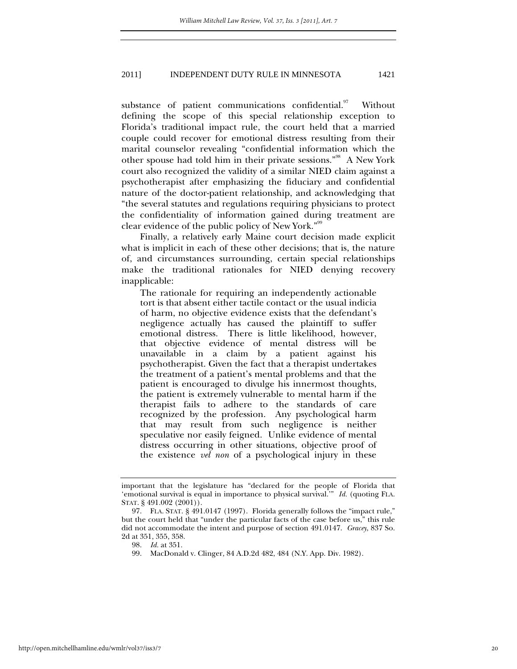substance of patient communications confidential.<sup>97</sup> Without defining the scope of this special relationship exception to Florida's traditional impact rule, the court held that a married couple could recover for emotional distress resulting from their marital counselor revealing "confidential information which the other spouse had told him in their private sessions."98 A New York court also recognized the validity of a similar NIED claim against a psychotherapist after emphasizing the fiduciary and confidential nature of the doctor-patient relationship, and acknowledging that "the several statutes and regulations requiring physicians to protect the confidentiality of information gained during treatment are clear evidence of the public policy of New York."<sup>99</sup>

Finally, a relatively early Maine court decision made explicit what is implicit in each of these other decisions; that is, the nature of, and circumstances surrounding, certain special relationships make the traditional rationales for NIED denying recovery inapplicable:

The rationale for requiring an independently actionable tort is that absent either tactile contact or the usual indicia of harm, no objective evidence exists that the defendant's negligence actually has caused the plaintiff to suffer emotional distress. There is little likelihood, however, that objective evidence of mental distress will be unavailable in a claim by a patient against his psychotherapist. Given the fact that a therapist undertakes the treatment of a patient's mental problems and that the patient is encouraged to divulge his innermost thoughts, the patient is extremely vulnerable to mental harm if the therapist fails to adhere to the standards of care recognized by the profession. Any psychological harm that may result from such negligence is neither speculative nor easily feigned. Unlike evidence of mental distress occurring in other situations, objective proof of the existence *vel non* of a psychological injury in these

important that the legislature has "declared for the people of Florida that 'emotional survival is equal in importance to physical survival.'" *Id.* (quoting FLA. STAT. § 491.002 (2001)).

 <sup>97.</sup> FLA. STAT. § 491.0147 (1997). Florida generally follows the "impact rule," but the court held that "under the particular facts of the case before us," this rule did not accommodate the intent and purpose of section 491.0147. *Gracey*, 837 So. 2d at 351, 355, 358.

 <sup>98.</sup> *Id.* at 351.

 <sup>99.</sup> MacDonald v. Clinger, 84 A.D.2d 482, 484 (N.Y. App. Div. 1982).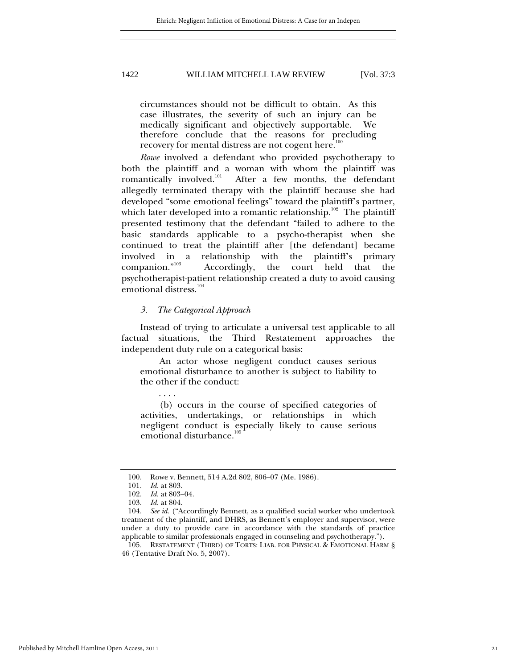circumstances should not be difficult to obtain. As this case illustrates, the severity of such an injury can be medically significant and objectively supportable. We therefore conclude that the reasons for precluding recovery for mental distress are not cogent here.<sup>1</sup>

*Rowe* involved a defendant who provided psychotherapy to both the plaintiff and a woman with whom the plaintiff was romantically involved. $101$  After a few months, the defendant allegedly terminated therapy with the plaintiff because she had developed "some emotional feelings" toward the plaintiff's partner, which later developed into a romantic relationship.<sup>102</sup> The plaintiff presented testimony that the defendant "failed to adhere to the basic standards applicable to a psycho-therapist when she continued to treat the plaintiff after [the defendant] became involved in a relationship with the plaintiff's primary<br>companion."<sup>103</sup> Accordingly, the court held that the Accordingly, the court held that the psychotherapist-patient relationship created a duty to avoid causing emotional distress.<sup>104</sup>

#### *3. The Categorical Approach*

Instead of trying to articulate a universal test applicable to all factual situations, the Third Restatement approaches the independent duty rule on a categorical basis:

An actor whose negligent conduct causes serious emotional disturbance to another is subject to liability to the other if the conduct:

(b) occurs in the course of specified categories of activities, undertakings, or relationships in which negligent conduct is especially likely to cause serious emotional disturbance.<sup>105</sup>

. . . .

 <sup>100.</sup> Rowe v. Bennett, 514 A.2d 802, 806–07 (Me. 1986).

 <sup>101.</sup> *Id.* at 803.

 <sup>102.</sup> *Id.* at 803–04.

 <sup>103.</sup> *Id.* at 804.

 <sup>104.</sup> *See id.* ("Accordingly Bennett, as a qualified social worker who undertook treatment of the plaintiff, and DHRS, as Bennett's employer and supervisor, were under a duty to provide care in accordance with the standards of practice applicable to similar professionals engaged in counseling and psychotherapy.").

 <sup>105.</sup> RESTATEMENT (THIRD) OF TORTS: LIAB. FOR PHYSICAL & EMOTIONAL HARM § 46 (Tentative Draft No. 5, 2007).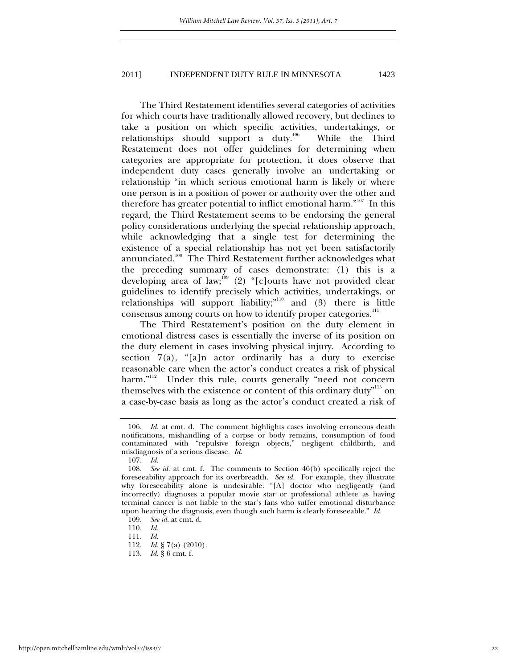The Third Restatement identifies several categories of activities for which courts have traditionally allowed recovery, but declines to take a position on which specific activities, undertakings, or relationships should support a duty.106 While the Third Restatement does not offer guidelines for determining when categories are appropriate for protection, it does observe that independent duty cases generally involve an undertaking or relationship "in which serious emotional harm is likely or where one person is in a position of power or authority over the other and therefore has greater potential to inflict emotional harm."<sup>107</sup> In this regard, the Third Restatement seems to be endorsing the general policy considerations underlying the special relationship approach, while acknowledging that a single test for determining the existence of a special relationship has not yet been satisfactorily annunciated.<sup>108</sup> The Third Restatement further acknowledges what the preceding summary of cases demonstrate: (1) this is a developing area of law;<sup>109</sup> (2) "[c]ourts have not provided clear guidelines to identify precisely which activities, undertakings, or relationships will support liability;"<sup>110</sup> and (3) there is little consensus among courts on how to identify proper categories. $^{\rm 111}$ 

The Third Restatement's position on the duty element in emotional distress cases is essentially the inverse of its position on the duty element in cases involving physical injury. According to section  $7(a)$ , "[a]n actor ordinarily has a duty to exercise reasonable care when the actor's conduct creates a risk of physical harm."<sup>112</sup> Under this rule, courts generally "need not concern themselves with the existence or content of this ordinary duty<sup>"113</sup> on a case-by-case basis as long as the actor's conduct created a risk of

 <sup>106.</sup> *Id.* at cmt. d. The comment highlights cases involving erroneous death notifications, mishandling of a corpse or body remains, consumption of food contaminated with "repulsive foreign objects," negligent childbirth, and misdiagnosis of a serious disease. *Id.*

 <sup>107.</sup> *Id.*

 <sup>108.</sup> *See id.* at cmt. f. The comments to Section 46(b) specifically reject the foreseeability approach for its overbreadth. *See id.* For example, they illustrate why foreseeability alone is undesirable: "[A] doctor who negligently (and incorrectly) diagnoses a popular movie star or professional athlete as having terminal cancer is not liable to the star's fans who suffer emotional disturbance upon hearing the diagnosis, even though such harm is clearly foreseeable." *Id.*

 <sup>109.</sup> *See id.* at cmt. d.

 <sup>110.</sup> *Id.*

 <sup>111.</sup> *Id.*

 <sup>112.</sup> *Id.* § 7(a) (2010).

 <sup>113.</sup> *Id.* § 6 cmt. f.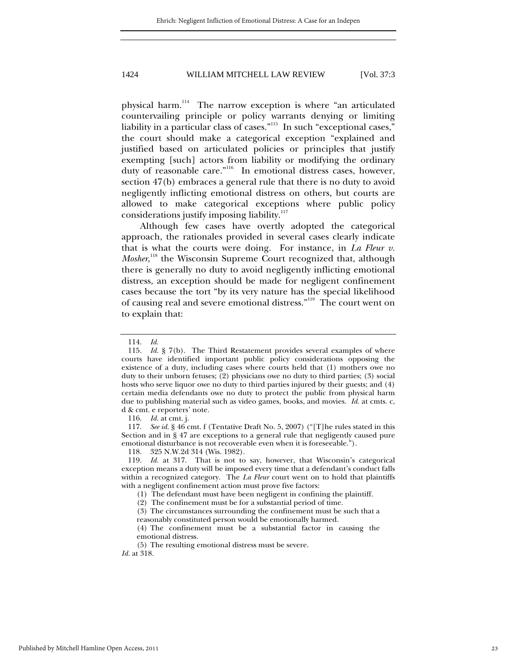physical harm.114 The narrow exception is where "an articulated countervailing principle or policy warrants denying or limiting liability in a particular class of cases."<sup>115</sup> In such "exceptional cases," the court should make a categorical exception "explained and justified based on articulated policies or principles that justify exempting [such] actors from liability or modifying the ordinary duty of reasonable care."<sup>116</sup> In emotional distress cases, however, section 47(b) embraces a general rule that there is no duty to avoid negligently inflicting emotional distress on others, but courts are allowed to make categorical exceptions where public policy considerations justify imposing liability.<sup>117</sup>

Although few cases have overtly adopted the categorical approach, the rationales provided in several cases clearly indicate that is what the courts were doing. For instance, in *La Fleur v. Mosher*,<sup>118</sup> the Wisconsin Supreme Court recognized that, although there is generally no duty to avoid negligently inflicting emotional distress, an exception should be made for negligent confinement cases because the tort "by its very nature has the special likelihood of causing real and severe emotional distress."119 The court went on to explain that:

116. *Id.* at cmt. j.

 117. *See id.* § 46 cmt. f (Tentative Draft No. 5, 2007) ("[T]he rules stated in this Section and in § 47 are exceptions to a general rule that negligently caused pure emotional disturbance is not recoverable even when it is foreseeable.").

118. 325 N.W.2d 314 (Wis. 1982).

 119. *Id.* at 317. That is not to say, however, that Wisconsin's categorical exception means a duty will be imposed every time that a defendant's conduct falls within a recognized category. The *La Fleur* court went on to hold that plaintiffs with a negligent confinement action must prove five factors:

(1) The defendant must have been negligent in confining the plaintiff.

(2) The confinement must be for a substantial period of time.

(3) The circumstances surrounding the confinement must be such that a

reasonably constituted person would be emotionally harmed.

(4) The confinement must be a substantial factor in causing the emotional distress.

(5) The resulting emotional distress must be severe. *Id.* at 318.

 <sup>114.</sup> *Id.*

 <sup>115.</sup> *Id.* § 7(b). The Third Restatement provides several examples of where courts have identified important public policy considerations opposing the existence of a duty, including cases where courts held that (1) mothers owe no duty to their unborn fetuses; (2) physicians owe no duty to third parties; (3) social hosts who serve liquor owe no duty to third parties injured by their guests; and (4) certain media defendants owe no duty to protect the public from physical harm due to publishing material such as video games, books, and movies. *Id.* at cmts. c, d & cmt. e reporters' note.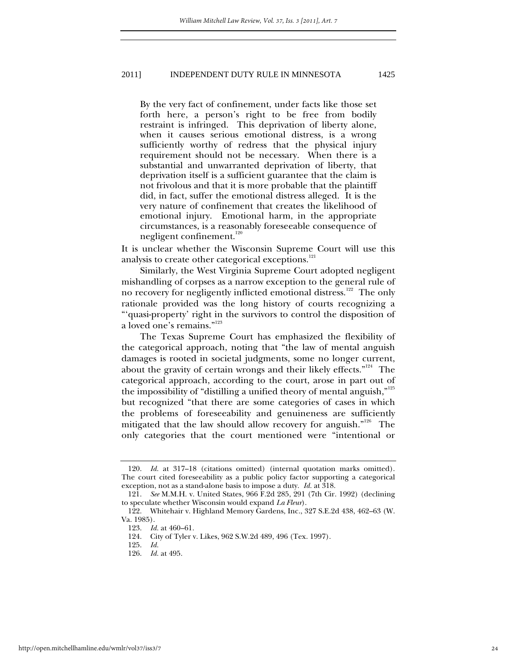By the very fact of confinement, under facts like those set forth here, a person's right to be free from bodily restraint is infringed. This deprivation of liberty alone, when it causes serious emotional distress, is a wrong sufficiently worthy of redress that the physical injury requirement should not be necessary. When there is a substantial and unwarranted deprivation of liberty, that deprivation itself is a sufficient guarantee that the claim is not frivolous and that it is more probable that the plaintiff did, in fact, suffer the emotional distress alleged. It is the very nature of confinement that creates the likelihood of emotional injury. Emotional harm, in the appropriate circumstances, is a reasonably foreseeable consequence of negligent confinement.<sup>120</sup>

It is unclear whether the Wisconsin Supreme Court will use this analysis to create other categorical exceptions.<sup>121</sup>

Similarly, the West Virginia Supreme Court adopted negligent mishandling of corpses as a narrow exception to the general rule of no recovery for negligently inflicted emotional distress.<sup>122</sup> The only rationale provided was the long history of courts recognizing a "'quasi-property' right in the survivors to control the disposition of a loved one's remains."<sup>123</sup>

The Texas Supreme Court has emphasized the flexibility of the categorical approach, noting that "the law of mental anguish damages is rooted in societal judgments, some no longer current, about the gravity of certain wrongs and their likely effects."<sup>124</sup> The categorical approach, according to the court, arose in part out of the impossibility of "distilling a unified theory of mental anguish," $^{125}$ but recognized "that there are some categories of cases in which the problems of foreseeability and genuineness are sufficiently mitigated that the law should allow recovery for anguish."<sup>126</sup> The only categories that the court mentioned were "intentional or

 <sup>120.</sup> *Id.* at 317–18 (citations omitted) (internal quotation marks omitted). The court cited foreseeability as a public policy factor supporting a categorical exception, not as a stand-alone basis to impose a duty. *Id.* at 318.

 <sup>121.</sup> *See* M.M.H. v. United States, 966 F.2d 285, 291 (7th Cir. 1992) (declining to speculate whether Wisconsin would expand *La Fleur*).

 <sup>122.</sup> Whitehair v. Highland Memory Gardens, Inc., 327 S.E.2d 438, 462–63 (W. Va. 1985).

 <sup>123.</sup> *Id.* at 460–61.

 <sup>124.</sup> City of Tyler v. Likes, 962 S.W.2d 489, 496 (Tex. 1997).

 <sup>125.</sup> *Id.*

 <sup>126.</sup> *Id.* at 495.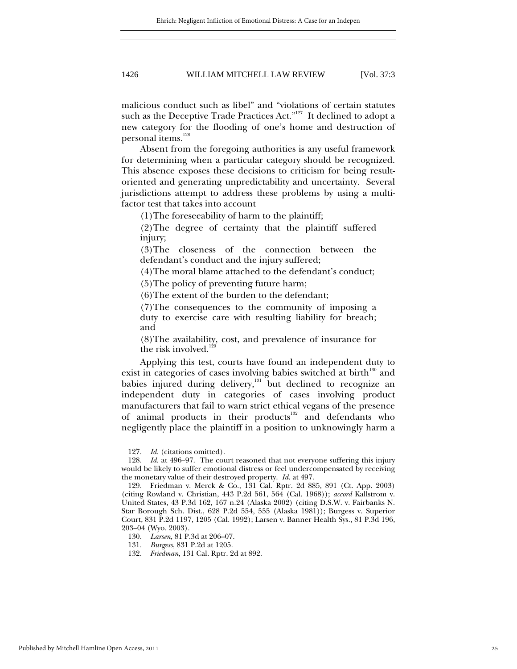malicious conduct such as libel" and "violations of certain statutes such as the Deceptive Trade Practices Act."<sup>127</sup> It declined to adopt a new category for the flooding of one's home and destruction of personal items.<sup>128</sup>

Absent from the foregoing authorities is any useful framework for determining when a particular category should be recognized. This absence exposes these decisions to criticism for being resultoriented and generating unpredictability and uncertainty. Several jurisdictions attempt to address these problems by using a multifactor test that takes into account

(1)The foreseeability of harm to the plaintiff;

(2)The degree of certainty that the plaintiff suffered injury;

(3)The closeness of the connection between the defendant's conduct and the injury suffered;

(4)The moral blame attached to the defendant's conduct;

(5)The policy of preventing future harm;

(6)The extent of the burden to the defendant;

(7)The consequences to the community of imposing a duty to exercise care with resulting liability for breach; and

(8)The availability, cost, and prevalence of insurance for the risk involved.<sup>129</sup>

Applying this test, courts have found an independent duty to exist in categories of cases involving babies switched at birth $130$  and babies injured during delivery, $131$  but declined to recognize an independent duty in categories of cases involving product manufacturers that fail to warn strict ethical vegans of the presence of animal products in their products<sup>132</sup> and defendants who negligently place the plaintiff in a position to unknowingly harm a

 <sup>127.</sup> *Id.* (citations omitted).

 <sup>128.</sup> *Id.* at 496–97. The court reasoned that not everyone suffering this injury would be likely to suffer emotional distress or feel undercompensated by receiving the monetary value of their destroyed property. *Id.* at 497.

 <sup>129.</sup> Friedman v. Merck & Co., 131 Cal. Rptr. 2d 885, 891 (Ct. App. 2003) (citing Rowland v. Christian, 443 P.2d 561, 564 (Cal. 1968)); *accord* Kallstrom v. United States, 43 P.3d 162, 167 n.24 (Alaska 2002) (citing D.S.W. v. Fairbanks N. Star Borough Sch. Dist., 628 P.2d 554, 555 (Alaska 1981)); Burgess v. Superior Court, 831 P.2d 1197, 1205 (Cal. 1992); Larsen v. Banner Health Sys., 81 P.3d 196, 203–04 (Wyo. 2003).

 <sup>130.</sup> *Larsen*, 81 P.3d at 206–07.

 <sup>131.</sup> *Burgess*, 831 P.2d at 1205.

 <sup>132.</sup> *Friedman*, 131 Cal. Rptr. 2d at 892.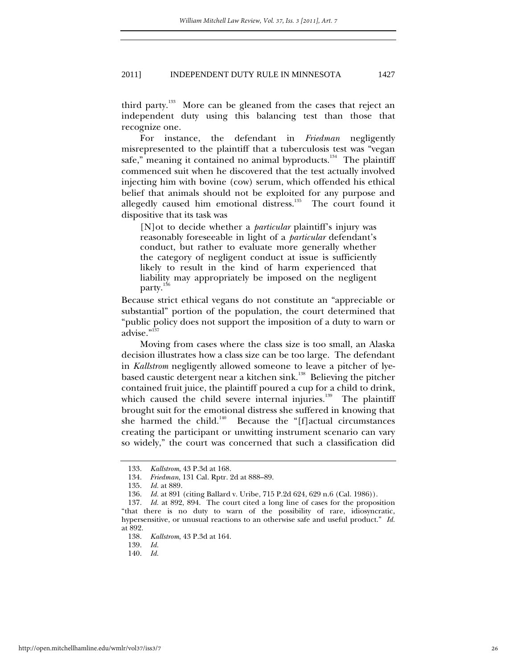third party.<sup>133</sup> More can be gleaned from the cases that reject an independent duty using this balancing test than those that recognize one.

For instance, the defendant in *Friedman* negligently misrepresented to the plaintiff that a tuberculosis test was "vegan safe," meaning it contained no animal byproducts. $134$  The plaintiff commenced suit when he discovered that the test actually involved injecting him with bovine (cow) serum, which offended his ethical belief that animals should not be exploited for any purpose and allegedly caused him emotional distress.<sup>135</sup> The court found it dispositive that its task was

[N]ot to decide whether a *particular* plaintiff's injury was reasonably foreseeable in light of a *particular* defendant's conduct, but rather to evaluate more generally whether the category of negligent conduct at issue is sufficiently likely to result in the kind of harm experienced that liability may appropriately be imposed on the negligent party.<sup>136</sup>

Because strict ethical vegans do not constitute an "appreciable or substantial" portion of the population, the court determined that "public policy does not support the imposition of a duty to warn or advise."<sup>137</sup>

Moving from cases where the class size is too small, an Alaska decision illustrates how a class size can be too large. The defendant in *Kallstrom* negligently allowed someone to leave a pitcher of lyebased caustic detergent near a kitchen sink.<sup>138</sup> Believing the pitcher contained fruit juice, the plaintiff poured a cup for a child to drink, which caused the child severe internal injuries.<sup>139</sup> The plaintiff brought suit for the emotional distress she suffered in knowing that she harmed the child.<sup>140</sup> Because the "[f]actual circumstances creating the participant or unwitting instrument scenario can vary so widely," the court was concerned that such a classification did

140. *Id.*

 <sup>133.</sup> *Kallstrom*, 43 P.3d at 168.

 <sup>134.</sup> *Friedman*, 131 Cal. Rptr. 2d at 888–89.

 <sup>135.</sup> *Id.* at 889.

 <sup>136.</sup> *Id.* at 891 (citing Ballard v. Uribe, 715 P.2d 624, 629 n.6 (Cal. 1986)).

 <sup>137.</sup> *Id.* at 892, 894. The court cited a long line of cases for the proposition "that there is no duty to warn of the possibility of rare, idiosyncratic, hypersensitive, or unusual reactions to an otherwise safe and useful product." *Id.* at 892.

 <sup>138.</sup> *Kallstrom*, 43 P.3d at 164.

 <sup>139.</sup> *Id.*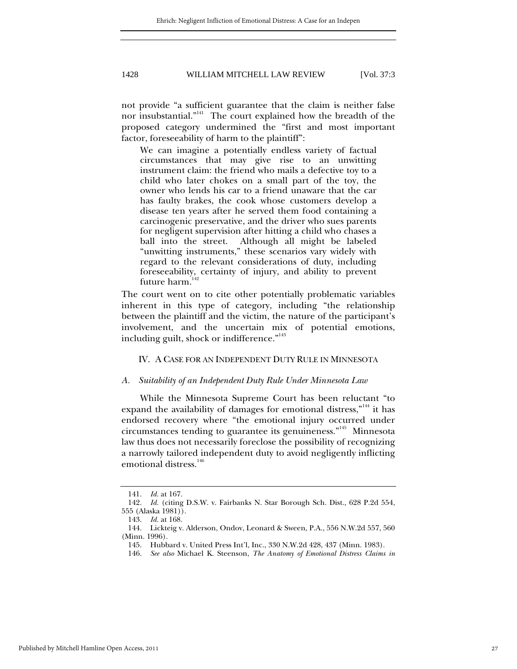not provide "a sufficient guarantee that the claim is neither false nor insubstantial."<sup>141</sup> The court explained how the breadth of the proposed category undermined the "first and most important factor, foreseeability of harm to the plaintiff":

We can imagine a potentially endless variety of factual circumstances that may give rise to an unwitting instrument claim: the friend who mails a defective toy to a child who later chokes on a small part of the toy, the owner who lends his car to a friend unaware that the car has faulty brakes, the cook whose customers develop a disease ten years after he served them food containing a carcinogenic preservative, and the driver who sues parents for negligent supervision after hitting a child who chases a ball into the street. Although all might be labeled "unwitting instruments," these scenarios vary widely with regard to the relevant considerations of duty, including foreseeability, certainty of injury, and ability to prevent future harm.<sup>1</sup>

The court went on to cite other potentially problematic variables inherent in this type of category, including "the relationship between the plaintiff and the victim, the nature of the participant's involvement, and the uncertain mix of potential emotions, including guilt, shock or indifference."<sup>143</sup>

#### IV. A CASE FOR AN INDEPENDENT DUTY RULE IN MINNESOTA

#### *A. Suitability of an Independent Duty Rule Under Minnesota Law*

While the Minnesota Supreme Court has been reluctant "to expand the availability of damages for emotional distress,"<sup>144</sup> it has endorsed recovery where "the emotional injury occurred under circumstances tending to guarantee its genuineness."145 Minnesota law thus does not necessarily foreclose the possibility of recognizing a narrowly tailored independent duty to avoid negligently inflicting emotional distress.<sup>146</sup>

 <sup>141.</sup> *Id.* at 167.

 <sup>142.</sup> *Id.* (citing D.S.W. v. Fairbanks N. Star Borough Sch. Dist., 628 P.2d 554, 555 (Alaska 1981)).

 <sup>143.</sup> *Id.* at 168.

 <sup>144.</sup> Lickteig v. Alderson, Ondov, Leonard & Sween, P.A., 556 N.W.2d 557, 560 (Minn. 1996).

 <sup>145.</sup> Hubbard v. United Press Int'l, Inc., 330 N.W.2d 428, 437 (Minn. 1983).

 <sup>146.</sup> *See also* Michael K. Steenson, *The Anatomy of Emotional Distress Claims in*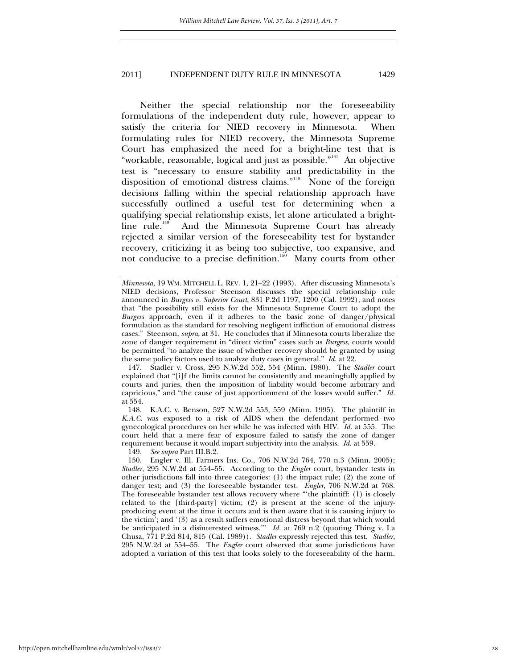Neither the special relationship nor the foreseeability formulations of the independent duty rule, however, appear to satisfy the criteria for NIED recovery in Minnesota. When formulating rules for NIED recovery, the Minnesota Supreme Court has emphasized the need for a bright-line test that is "workable, reasonable, logical and just as possible."<sup>147</sup> An objective test is "necessary to ensure stability and predictability in the disposition of emotional distress claims."<sup>148</sup> None of the foreign decisions falling within the special relationship approach have successfully outlined a useful test for determining when a qualifying special relationship exists, let alone articulated a brightline rule.<sup>149</sup> And the Minnesota Supreme Court has already rejected a similar version of the foreseeability test for bystander recovery, criticizing it as being too subjective, too expansive, and not conducive to a precise definition.<sup>150</sup> Many courts from other

 147. Stadler v. Cross, 295 N.W.2d 552, 554 (Minn. 1980). The *Stadler* court explained that "[i]f the limits cannot be consistently and meaningfully applied by courts and juries, then the imposition of liability would become arbitrary and capricious," and "the cause of just apportionment of the losses would suffer." *Id.* at 554.

 148. K.A.C. v. Benson, 527 N.W.2d 553, 559 (Minn. 1995). The plaintiff in *K.A.C*. was exposed to a risk of AIDS when the defendant performed two gynecological procedures on her while he was infected with HIV. *Id.* at 555. The court held that a mere fear of exposure failed to satisfy the zone of danger requirement because it would impart subjectivity into the analysis. *Id.* at 559.

149. *See supra* Part III.B.2.

 150. Engler v. Ill. Farmers Ins. Co., 706 N.W.2d 764, 770 n.3 (Minn. 2005); *Stadler*, 295 N.W.2d at 554–55. According to the *Engler* court, bystander tests in other jurisdictions fall into three categories: (1) the impact rule; (2) the zone of danger test; and (3) the foreseeable bystander test. *Engler*, 706 N.W.2d at 768. The foreseeable bystander test allows recovery where "'the plaintiff: (1) is closely related to the [third-party] victim; (2) is present at the scene of the injuryproducing event at the time it occurs and is then aware that it is causing injury to the victim'; and '(3) as a result suffers emotional distress beyond that which would be anticipated in a disinterested witness.'" *Id.* at 769 n.2 (quoting Thing v. La Chusa, 771 P.2d 814, 815 (Cal. 1989)). *Stadler* expressly rejected this test. *Stadler*, 295 N.W.2d at 554–55. The *Engler* court observed that some jurisdictions have adopted a variation of this test that looks solely to the foreseeability of the harm.

*Minnesota*, 19 WM. MITCHELL L. REV. 1, 21–22 (1993). After discussing Minnesota's NIED decisions, Professor Steenson discusses the special relationship rule announced in *Burgess v. Superior Court*, 831 P.2d 1197, 1200 (Cal. 1992), and notes that "the possibility still exists for the Minnesota Supreme Court to adopt the *Burgess* approach, even if it adheres to the basic zone of danger/physical formulation as the standard for resolving negligent infliction of emotional distress cases." Steenson, *supra*, at 31. He concludes that if Minnesota courts liberalize the zone of danger requirement in "direct victim" cases such as *Burgess*, courts would be permitted "to analyze the issue of whether recovery should be granted by using the same policy factors used to analyze duty cases in general." *Id.* at 22.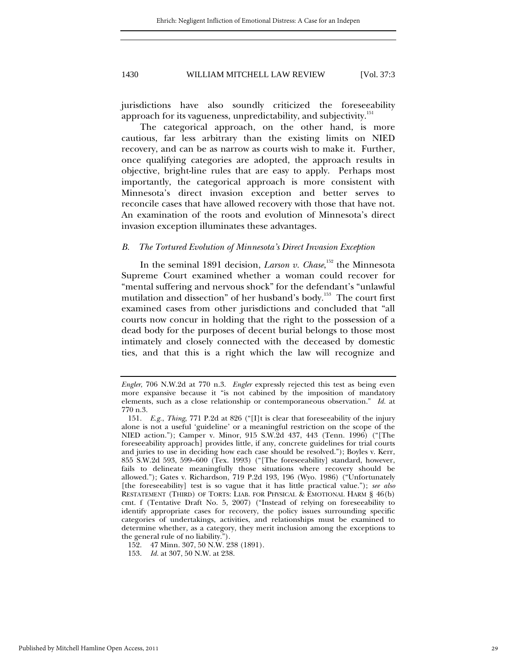jurisdictions have also soundly criticized the foreseeability approach for its vagueness, unpredictability, and subjectivity.<sup>151</sup>

The categorical approach, on the other hand, is more cautious, far less arbitrary than the existing limits on NIED recovery, and can be as narrow as courts wish to make it. Further, once qualifying categories are adopted, the approach results in objective, bright-line rules that are easy to apply. Perhaps most importantly, the categorical approach is more consistent with Minnesota's direct invasion exception and better serves to reconcile cases that have allowed recovery with those that have not. An examination of the roots and evolution of Minnesota's direct invasion exception illuminates these advantages.

#### *B. The Tortured Evolution of Minnesota's Direct Invasion Exception*

In the seminal 1891 decision, *Larson v. Chase*, 152 the Minnesota Supreme Court examined whether a woman could recover for "mental suffering and nervous shock" for the defendant's "unlawful mutilation and dissection" of her husband's body.<sup>153</sup> The court first examined cases from other jurisdictions and concluded that "all courts now concur in holding that the right to the possession of a dead body for the purposes of decent burial belongs to those most intimately and closely connected with the deceased by domestic ties, and that this is a right which the law will recognize and

*Engler*, 706 N.W.2d at 770 n.3. *Engler* expressly rejected this test as being even more expansive because it "is not cabined by the imposition of mandatory elements, such as a close relationship or contemporaneous observation." *Id.* at 770 n.3.

 <sup>151.</sup> *E.g.*, *Thing*, 771 P.2d at 826 ("[I]t is clear that foreseeability of the injury alone is not a useful 'guideline' or a meaningful restriction on the scope of the NIED action."); Camper v. Minor, 915 S.W.2d 437, 443 (Tenn. 1996) ("[The foreseeability approach] provides little, if any, concrete guidelines for trial courts and juries to use in deciding how each case should be resolved."); Boyles v. Kerr, 855 S.W.2d 593, 599–600 (Tex. 1993) ("[The foreseeability] standard, however, fails to delineate meaningfully those situations where recovery should be allowed."); Gates v. Richardson, 719 P.2d 193, 196 (Wyo. 1986) ("Unfortunately [the foreseeability] test is so vague that it has little practical value."); *see also* RESTATEMENT (THIRD) OF TORTS: LIAB. FOR PHYSICAL & EMOTIONAL HARM § 46(b) cmt. f (Tentative Draft No. 5, 2007) ("Instead of relying on foreseeability to identify appropriate cases for recovery, the policy issues surrounding specific categories of undertakings, activities, and relationships must be examined to determine whether, as a category, they merit inclusion among the exceptions to the general rule of no liability.").

 <sup>152. 47</sup> Minn. 307, 50 N.W. 238 (1891).

 <sup>153.</sup> *Id.* at 307, 50 N.W. at 238.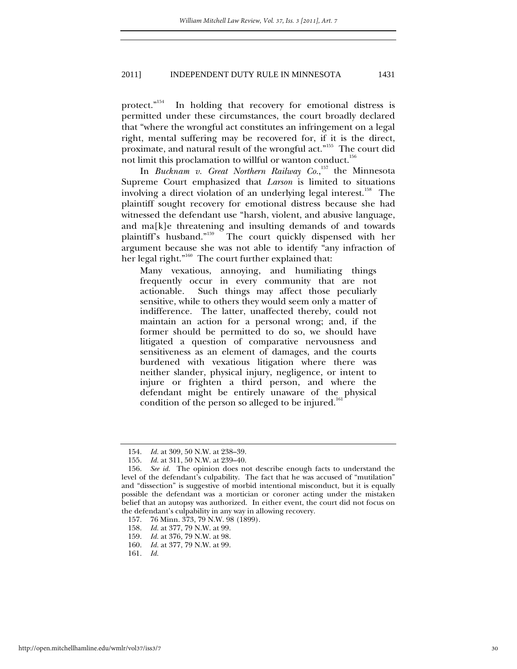protect."<sup>154</sup> In holding that recovery for emotional distress is permitted under these circumstances, the court broadly declared that "where the wrongful act constitutes an infringement on a legal right, mental suffering may be recovered for, if it is the direct, proximate, and natural result of the wrongful act."155 The court did not limit this proclamation to willful or wanton conduct.<sup>156</sup>

In *Bucknam v. Great Northern Railway Co.*, 157 the Minnesota Supreme Court emphasized that *Larson* is limited to situations involving a direct violation of an underlying legal interest.<sup>158</sup> The plaintiff sought recovery for emotional distress because she had witnessed the defendant use "harsh, violent, and abusive language, and ma[k]e threatening and insulting demands of and towards plaintiff's husband."<sup>159</sup> The court quickly dispensed with her argument because she was not able to identify "any infraction of her legal right."<sup>160</sup> The court further explained that:

Many vexatious, annoying, and humiliating things frequently occur in every community that are not actionable. Such things may affect those peculiarly sensitive, while to others they would seem only a matter of indifference. The latter, unaffected thereby, could not maintain an action for a personal wrong; and, if the former should be permitted to do so, we should have litigated a question of comparative nervousness and sensitiveness as an element of damages, and the courts burdened with vexatious litigation where there was neither slander, physical injury, negligence, or intent to injure or frighten a third person, and where the defendant might be entirely unaware of the physical condition of the person so alleged to be injured.<sup>16</sup>

 <sup>154.</sup> *Id.* at 309, 50 N.W. at 238–39.

 <sup>155.</sup> *Id.* at 311, 50 N.W. at 239–40.

 <sup>156.</sup> *See id.* The opinion does not describe enough facts to understand the level of the defendant's culpability. The fact that he was accused of "mutilation" and "dissection" is suggestive of morbid intentional misconduct, but it is equally possible the defendant was a mortician or coroner acting under the mistaken belief that an autopsy was authorized. In either event, the court did not focus on the defendant's culpability in any way in allowing recovery.

 <sup>157. 76</sup> Minn. 373, 79 N.W. 98 (1899).

 <sup>158.</sup> *Id.* at 377, 79 N.W. at 99.

 <sup>159.</sup> *Id.* at 376, 79 N.W. at 98.

 <sup>160.</sup> *Id.* at 377, 79 N.W. at 99.

 <sup>161.</sup> *Id.*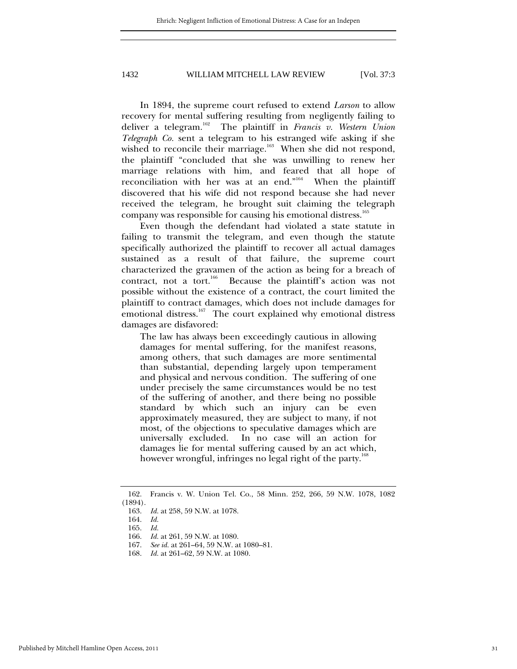In 1894, the supreme court refused to extend *Larson* to allow recovery for mental suffering resulting from negligently failing to deliver a telegram.162 The plaintiff in *Francis v. Western Union Telegraph Co.* sent a telegram to his estranged wife asking if she wished to reconcile their marriage.<sup>163</sup> When she did not respond, the plaintiff "concluded that she was unwilling to renew her marriage relations with him, and feared that all hope of reconciliation with her was at an end."164 When the plaintiff discovered that his wife did not respond because she had never received the telegram, he brought suit claiming the telegraph company was responsible for causing his emotional distress.<sup>165</sup>

Even though the defendant had violated a state statute in failing to transmit the telegram, and even though the statute specifically authorized the plaintiff to recover all actual damages sustained as a result of that failure, the supreme court characterized the gravamen of the action as being for a breach of contract, not a tort.<sup>166</sup> Because the plaintiff's action was not possible without the existence of a contract, the court limited the plaintiff to contract damages, which does not include damages for emotional distress.<sup>167</sup> The court explained why emotional distress damages are disfavored:

The law has always been exceedingly cautious in allowing damages for mental suffering, for the manifest reasons, among others, that such damages are more sentimental than substantial, depending largely upon temperament and physical and nervous condition. The suffering of one under precisely the same circumstances would be no test of the suffering of another, and there being no possible standard by which such an injury can be even approximately measured, they are subject to many, if not most, of the objections to speculative damages which are universally excluded. In no case will an action for damages lie for mental suffering caused by an act which, however wrongful, infringes no legal right of the party.<sup>168</sup>

 <sup>162.</sup> Francis v. W. Union Tel. Co., 58 Minn. 252, 266, 59 N.W. 1078, 1082 (1894).

 <sup>163.</sup> *Id.* at 258, 59 N.W. at 1078.

 <sup>164.</sup> *Id.*

 <sup>165.</sup> *Id.*

 <sup>166.</sup> *Id.* at 261, 59 N.W. at 1080.

 <sup>167.</sup> *See id.* at 261–64, 59 N.W. at 1080–81.

 <sup>168.</sup> *Id.* at 261–62, 59 N.W. at 1080.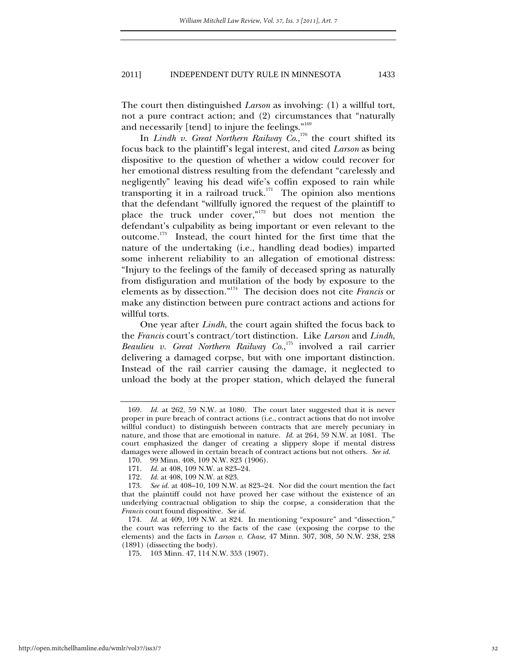The court then distinguished *Larson* as involving: (1) a willful tort, not a pure contract action; and (2) circumstances that "naturally and necessarily [tend] to injure the feelings."<sup>169</sup>

In *Lindh v. Great Northern Railway Co.*,<sup>170</sup> the court shifted its focus back to the plaintiff's legal interest, and cited *Larson* as being dispositive to the question of whether a widow could recover for her emotional distress resulting from the defendant "carelessly and negligently" leaving his dead wife's coffin exposed to rain while transporting it in a railroad truck.<sup>171</sup> The opinion also mentions that the defendant "willfully ignored the request of the plaintiff to place the truck under cover,"<sup>172</sup> but does not mention the defendant's culpability as being important or even relevant to the outcome.173 Instead, the court hinted for the first time that the nature of the undertaking (i.e., handling dead bodies) imparted some inherent reliability to an allegation of emotional distress: "Injury to the feelings of the family of deceased spring as naturally from disfiguration and mutilation of the body by exposure to the elements as by dissection."174 The decision does not cite *Francis* or make any distinction between pure contract actions and actions for willful torts.

One year after *Lindh*, the court again shifted the focus back to the *Francis* court's contract/tort distinction. Like *Larson* and *Lindh*, *Beaulieu v. Great Northern Railway Co.*,<sup>175</sup> involved a rail carrier delivering a damaged corpse, but with one important distinction. Instead of the rail carrier causing the damage, it neglected to unload the body at the proper station, which delayed the funeral

 <sup>169.</sup> *Id.* at 262, 59 N.W. at 1080. The court later suggested that it is never proper in pure breach of contract actions (i.e., contract actions that do not involve willful conduct) to distinguish between contracts that are merely pecuniary in nature, and those that are emotional in nature. *Id.* at 264, 59 N.W. at 1081. The court emphasized the danger of creating a slippery slope if mental distress damages were allowed in certain breach of contract actions but not others. *See id.*

 <sup>170. 99</sup> Minn. 408, 109 N.W. 823 (1906).

<sup>171.</sup> *Id.* at 408, 109 N.W. at 823–24.<br>172. *Id.* at 408, 109 N.W. at 823.

*Id.* at 408, 109 N.W. at 823.

 <sup>173.</sup> *See id.* at 408–10, 109 N.W. at 823–24. Nor did the court mention the fact that the plaintiff could not have proved her case without the existence of an underlying contractual obligation to ship the corpse, a consideration that the *Francis* court found dispositive. *See id.*

 <sup>174.</sup> *Id.* at 409, 109 N.W. at 824. In mentioning "exposure" and "dissection," the court was referring to the facts of the case (exposing the corpse to the elements) and the facts in *Larson v. Chase*, 47 Minn. 307, 308, 50 N.W. 238, 238 (1891) (dissecting the body).

 <sup>175. 103</sup> Minn. 47, 114 N.W. 353 (1907).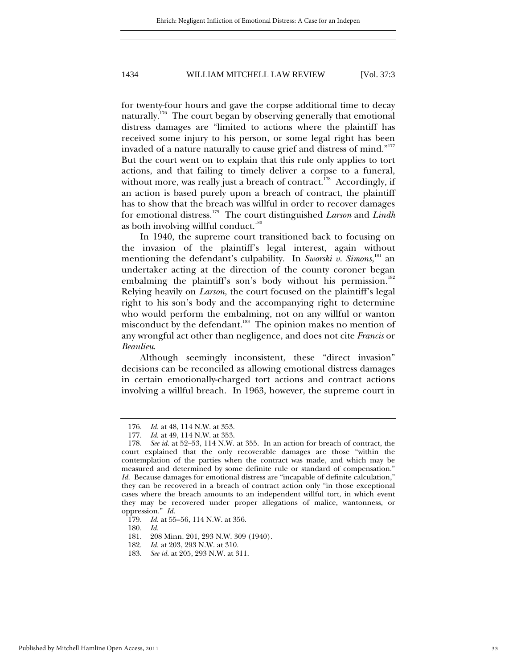for twenty-four hours and gave the corpse additional time to decay naturally.<sup>176</sup> The court began by observing generally that emotional distress damages are "limited to actions where the plaintiff has received some injury to his person, or some legal right has been invaded of a nature naturally to cause grief and distress of mind."<sup>177</sup> But the court went on to explain that this rule only applies to tort actions, and that failing to timely deliver a corpse to a funeral, without more, was really just a breach of contract.<sup>178</sup> Accordingly, if an action is based purely upon a breach of contract, the plaintiff has to show that the breach was willful in order to recover damages for emotional distress.179 The court distinguished *Larson* and *Lindh* as both involving willful conduct. $180$ 

In 1940, the supreme court transitioned back to focusing on the invasion of the plaintiff's legal interest, again without mentioning the defendant's culpability. In Sworski v. Simons, <sup>181</sup> an undertaker acting at the direction of the county coroner began embalming the plaintiff's son's body without his permission.<sup>182</sup> Relying heavily on *Larson*, the court focused on the plaintiff's legal right to his son's body and the accompanying right to determine who would perform the embalming, not on any willful or wanton misconduct by the defendant.<sup>183</sup> The opinion makes no mention of any wrongful act other than negligence, and does not cite *Francis* or *Beaulieu*.

Although seemingly inconsistent, these "direct invasion" decisions can be reconciled as allowing emotional distress damages in certain emotionally-charged tort actions and contract actions involving a willful breach. In 1963, however, the supreme court in

180. *Id.*

 <sup>176.</sup> *Id.* at 48, 114 N.W. at 353.

 <sup>177.</sup> *Id.* at 49, 114 N.W. at 353.

 <sup>178.</sup> *See id.* at 52–53, 114 N.W. at 355. In an action for breach of contract, the court explained that the only recoverable damages are those "within the contemplation of the parties when the contract was made, and which may be measured and determined by some definite rule or standard of compensation." *Id.* Because damages for emotional distress are "incapable of definite calculation," they can be recovered in a breach of contract action only "in those exceptional cases where the breach amounts to an independent willful tort, in which event they may be recovered under proper allegations of malice, wantonness, or oppression." *Id.*

 <sup>179.</sup> *Id.* at 55–56, 114 N.W. at 356.

 <sup>181. 208</sup> Minn. 201, 293 N.W. 309 (1940).

 <sup>182.</sup> *Id.* at 203, 293 N.W. at 310.

 <sup>183.</sup> *See id.* at 205, 293 N.W. at 311.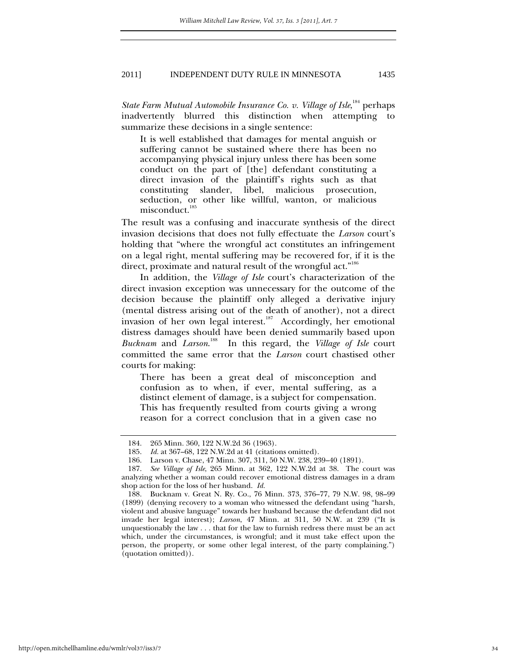*State Farm Mutual Automobile Insurance Co. v. Village of Isle*, 184 perhaps inadvertently blurred this distinction when attempting to summarize these decisions in a single sentence:

It is well established that damages for mental anguish or suffering cannot be sustained where there has been no accompanying physical injury unless there has been some conduct on the part of [the] defendant constituting a direct invasion of the plaintiff's rights such as that constituting slander, libel, malicious prosecution, seduction, or other like willful, wanton, or malicious misconduct.<sup>185</sup>

The result was a confusing and inaccurate synthesis of the direct invasion decisions that does not fully effectuate the *Larson* court's holding that "where the wrongful act constitutes an infringement on a legal right, mental suffering may be recovered for, if it is the direct, proximate and natural result of the wrongful act."<sup>186</sup>

In addition, the *Village of Isle* court's characterization of the direct invasion exception was unnecessary for the outcome of the decision because the plaintiff only alleged a derivative injury (mental distress arising out of the death of another), not a direct invasion of her own legal interest.<sup>187</sup> Accordingly, her emotional distress damages should have been denied summarily based upon *Bucknam* and *Larson*. 188 In this regard, the *Village of Isle* court committed the same error that the *Larson* court chastised other courts for making:

There has been a great deal of misconception and confusion as to when, if ever, mental suffering, as a distinct element of damage, is a subject for compensation. This has frequently resulted from courts giving a wrong reason for a correct conclusion that in a given case no

 <sup>184. 265</sup> Minn. 360, 122 N.W.2d 36 (1963).

 <sup>185.</sup> *Id.* at 367–68, 122 N.W.2d at 41 (citations omitted).

 <sup>186.</sup> Larson v. Chase, 47 Minn. 307, 311, 50 N.W. 238, 239–40 (1891).

 <sup>187.</sup> *See Village of Isle*, 265 Minn. at 362, 122 N.W.2d at 38. The court was analyzing whether a woman could recover emotional distress damages in a dram shop action for the loss of her husband. *Id.*

 <sup>188.</sup> Bucknam v. Great N. Ry. Co., 76 Minn. 373, 376–77, 79 N.W. 98, 98–99 (1899) (denying recovery to a woman who witnessed the defendant using "harsh, violent and abusive language" towards her husband because the defendant did not invade her legal interest); *Larson*, 47 Minn. at 311, 50 N.W. at 239 ("It is unquestionably the law . . . that for the law to furnish redress there must be an act which, under the circumstances, is wrongful; and it must take effect upon the person, the property, or some other legal interest, of the party complaining.") (quotation omitted)).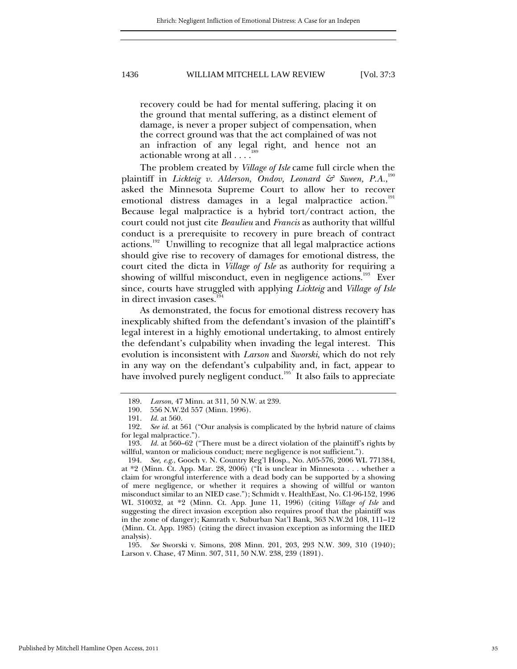recovery could be had for mental suffering, placing it on the ground that mental suffering, as a distinct element of damage, is never a proper subject of compensation, when the correct ground was that the act complained of was not an infraction of any legal right, and hence not an actionable wrong at all . . . .<sup>1</sup>

The problem created by *Village of Isle* came full circle when the plaintiff in *Lickteig v. Alderson, Ondov, Leonard & Sween, P.A.,*  $^{190}$ asked the Minnesota Supreme Court to allow her to recover emotional distress damages in a legal malpractice action.<sup>191</sup> Because legal malpractice is a hybrid tort/contract action, the court could not just cite *Beaulieu* and *Francis* as authority that willful conduct is a prerequisite to recovery in pure breach of contract actions.<sup>192</sup> Unwilling to recognize that all legal malpractice actions should give rise to recovery of damages for emotional distress, the court cited the dicta in *Village of Isle* as authority for requiring a showing of willful misconduct, even in negligence actions.<sup>193</sup> Ever since, courts have struggled with applying *Lickteig* and *Village of Isle*  in direct invasion cases. $194$ 

As demonstrated, the focus for emotional distress recovery has inexplicably shifted from the defendant's invasion of the plaintiff's legal interest in a highly emotional undertaking, to almost entirely the defendant's culpability when invading the legal interest. This evolution is inconsistent with *Larson* and *Sworski*, which do not rely in any way on the defendant's culpability and, in fact, appear to have involved purely negligent conduct.<sup>195</sup> It also fails to appreciate

 194. *See, e.g*., Gooch v. N. Country Reg'l Hosp., No. A05-576, 2006 WL 771384, at \*2 (Minn. Ct. App. Mar. 28, 2006) ("It is unclear in Minnesota . . . whether a claim for wrongful interference with a dead body can be supported by a showing of mere negligence, or whether it requires a showing of willful or wanton misconduct similar to an NIED case."); Schmidt v. HealthEast, No. C1-96-152, 1996 WL 310032, at \*2 (Minn. Ct. App. June 11, 1996) (citing *Village of Isle* and suggesting the direct invasion exception also requires proof that the plaintiff was in the zone of danger); Kamrath v. Suburban Nat'l Bank, 363 N.W.2d 108, 111–12 (Minn. Ct. App. 1985) (citing the direct invasion exception as informing the IIED analysis).

 195. *See* Sworski v. Simons, 208 Minn. 201, 203, 293 N.W. 309, 310 (1940); Larson v. Chase, 47 Minn. 307, 311, 50 N.W. 238, 239 (1891).

Published by Mitchell Hamline Open Access, 2011

 <sup>189.</sup> *Larson*, 47 Minn. at 311, 50 N.W. at 239.

<sup>190. 556</sup> N.W.2d 557 (Minn. 1996).<br>191. Id. at 560.

*Id.* at 560.

 <sup>192.</sup> *See id.* at 561 ("Our analysis is complicated by the hybrid nature of claims for legal malpractice.").

 <sup>193.</sup> *Id.* at 560–62 ("There must be a direct violation of the plaintiff's rights by willful, wanton or malicious conduct; mere negligence is not sufficient.").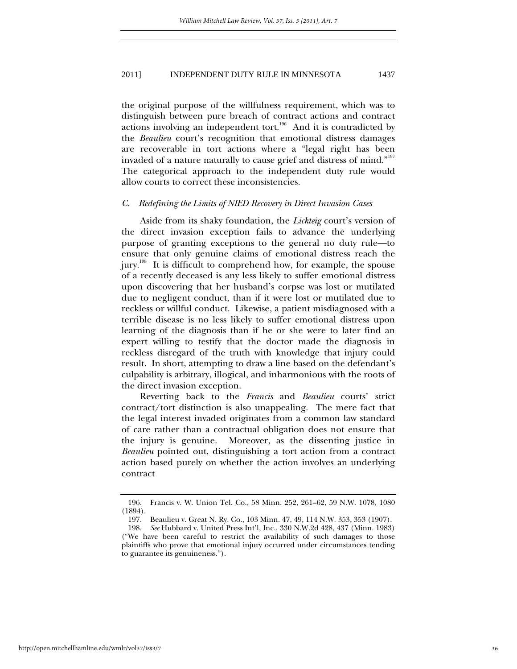the original purpose of the willfulness requirement, which was to distinguish between pure breach of contract actions and contract actions involving an independent tort.<sup>196</sup> And it is contradicted by the *Beaulieu* court's recognition that emotional distress damages are recoverable in tort actions where a "legal right has been invaded of a nature naturally to cause grief and distress of mind." $^{197}$ The categorical approach to the independent duty rule would allow courts to correct these inconsistencies.

#### *C. Redefining the Limits of NIED Recovery in Direct Invasion Cases*

Aside from its shaky foundation, the *Lickteig* court's version of the direct invasion exception fails to advance the underlying purpose of granting exceptions to the general no duty rule—to ensure that only genuine claims of emotional distress reach the jury.<sup>198</sup> It is difficult to comprehend how, for example, the spouse of a recently deceased is any less likely to suffer emotional distress upon discovering that her husband's corpse was lost or mutilated due to negligent conduct, than if it were lost or mutilated due to reckless or willful conduct. Likewise, a patient misdiagnosed with a terrible disease is no less likely to suffer emotional distress upon learning of the diagnosis than if he or she were to later find an expert willing to testify that the doctor made the diagnosis in reckless disregard of the truth with knowledge that injury could result. In short, attempting to draw a line based on the defendant's culpability is arbitrary, illogical, and inharmonious with the roots of the direct invasion exception.

Reverting back to the *Francis* and *Beaulieu* courts' strict contract/tort distinction is also unappealing. The mere fact that the legal interest invaded originates from a common law standard of care rather than a contractual obligation does not ensure that the injury is genuine. Moreover, as the dissenting justice in *Beaulieu* pointed out, distinguishing a tort action from a contract action based purely on whether the action involves an underlying contract

 <sup>196.</sup> Francis v. W. Union Tel. Co., 58 Minn. 252, 261–62, 59 N.W. 1078, 1080 (1894).

 <sup>197.</sup> Beaulieu v. Great N. Ry. Co., 103 Minn. 47, 49, 114 N.W. 353, 353 (1907).

 <sup>198.</sup> *See* Hubbard v. United Press Int'l, Inc., 330 N.W.2d 428, 437 (Minn. 1983) ("We have been careful to restrict the availability of such damages to those plaintiffs who prove that emotional injury occurred under circumstances tending to guarantee its genuineness.").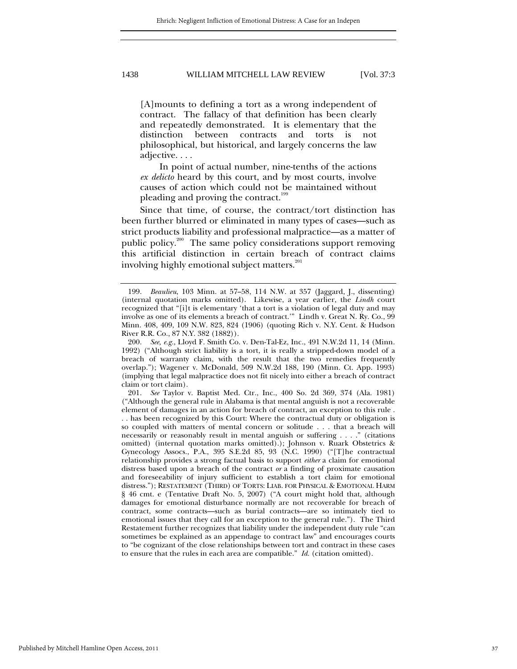[A]mounts to defining a tort as a wrong independent of contract. The fallacy of that definition has been clearly and repeatedly demonstrated. It is elementary that the distinction between contracts and torts is not philosophical, but historical, and largely concerns the law adjective. . . .

In point of actual number, nine-tenths of the actions *ex delicto* heard by this court, and by most courts, involve causes of action which could not be maintained without pleading and proving the contract.<sup>199</sup>

Since that time, of course, the contract/tort distinction has been further blurred or eliminated in many types of cases—such as strict products liability and professional malpractice—as a matter of public policy.<sup>200</sup> The same policy considerations support removing this artificial distinction in certain breach of contract claims involving highly emotional subject matters. $^{201}$ 

 <sup>199.</sup> *Beaulieu*, 103 Minn. at 57–58, 114 N.W. at 357 (Jaggard, J., dissenting) (internal quotation marks omitted). Likewise, a year earlier, the *Lindh* court recognized that "[i]t is elementary 'that a tort is a violation of legal duty and may involve as one of its elements a breach of contract.'" Lindh v. Great N. Ry. Co., 99 Minn. 408, 409, 109 N.W. 823, 824 (1906) (quoting Rich v. N.Y. Cent. & Hudson River R.R. Co., 87 N.Y. 382 (1882)).

 <sup>200.</sup> *See, e.g.*, Lloyd F. Smith Co. v. Den-Tal-Ez, Inc., 491 N.W.2d 11, 14 (Minn. 1992) ("Although strict liability is a tort, it is really a stripped-down model of a breach of warranty claim, with the result that the two remedies frequently overlap."); Wagener v. McDonald, 509 N.W.2d 188, 190 (Minn. Ct. App. 1993) (implying that legal malpractice does not fit nicely into either a breach of contract claim or tort claim).

 <sup>201.</sup> *See* Taylor v. Baptist Med. Ctr., Inc., 400 So. 2d 369, 374 (Ala. 1981) ("Although the general rule in Alabama is that mental anguish is not a recoverable element of damages in an action for breach of contract, an exception to this rule . . . has been recognized by this Court: Where the contractual duty or obligation is so coupled with matters of mental concern or solitude . . . that a breach will necessarily or reasonably result in mental anguish or suffering . . . ." (citations omitted) (internal quotation marks omitted).); Johnson v. Ruark Obstetrics & Gynecology Assocs., P.A., 395 S.E.2d 85, 93 (N.C. 1990) ("[T]he contractual relationship provides a strong factual basis to support *either* a claim for emotional distress based upon a breach of the contract *or* a finding of proximate causation and foreseeability of injury sufficient to establish a tort claim for emotional distress."); RESTATEMENT (THIRD) OF TORTS: LIAB. FOR PHYSICAL & EMOTIONAL HARM § 46 cmt. e (Tentative Draft No. 5, 2007) ("A court might hold that, although damages for emotional disturbance normally are not recoverable for breach of contract, some contracts—such as burial contracts—are so intimately tied to emotional issues that they call for an exception to the general rule."). The Third Restatement further recognizes that liability under the independent duty rule "can sometimes be explained as an appendage to contract law" and encourages courts to "be cognizant of the close relationships between tort and contract in these cases to ensure that the rules in each area are compatible." *Id.* (citation omitted).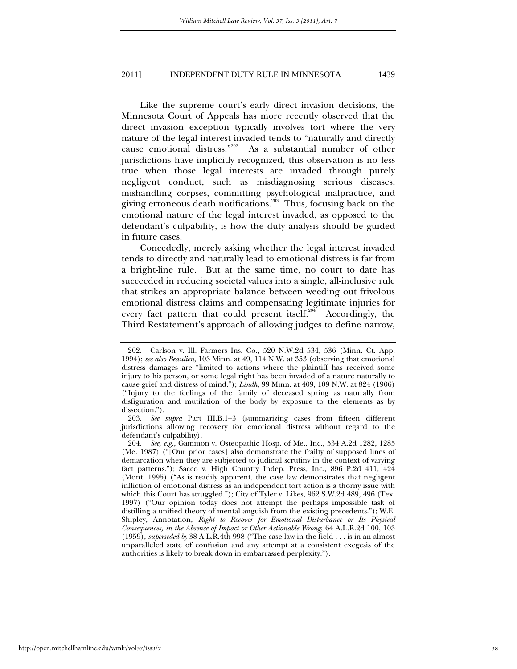Like the supreme court's early direct invasion decisions, the Minnesota Court of Appeals has more recently observed that the direct invasion exception typically involves tort where the very nature of the legal interest invaded tends to "naturally and directly cause emotional distress."<sup>202</sup> As a substantial number of other jurisdictions have implicitly recognized, this observation is no less true when those legal interests are invaded through purely negligent conduct, such as misdiagnosing serious diseases, mishandling corpses, committing psychological malpractice, and giving erroneous death notifications.<sup>203</sup> Thus, focusing back on the emotional nature of the legal interest invaded, as opposed to the defendant's culpability, is how the duty analysis should be guided in future cases.

Concededly, merely asking whether the legal interest invaded tends to directly and naturally lead to emotional distress is far from a bright-line rule. But at the same time, no court to date has succeeded in reducing societal values into a single, all-inclusive rule that strikes an appropriate balance between weeding out frivolous emotional distress claims and compensating legitimate injuries for every fact pattern that could present itself.<sup>204</sup> Accordingly, the Third Restatement's approach of allowing judges to define narrow,

 <sup>202.</sup> Carlson v. Ill. Farmers Ins. Co., 520 N.W.2d 534, 536 (Minn. Ct. App. 1994); *see also Beaulieu*, 103 Minn. at 49, 114 N.W. at 353 (observing that emotional distress damages are "limited to actions where the plaintiff has received some injury to his person, or some legal right has been invaded of a nature naturally to cause grief and distress of mind."); *Lindh*, 99 Minn. at 409, 109 N.W. at 824 (1906) ("Injury to the feelings of the family of deceased spring as naturally from disfiguration and mutilation of the body by exposure to the elements as by dissection.").

 <sup>203.</sup> *See supra* Part III.B.1–3 (summarizing cases from fifteen different jurisdictions allowing recovery for emotional distress without regard to the defendant's culpability).

 <sup>204.</sup> *See, e.g.*, Gammon v. Osteopathic Hosp. of Me., Inc., 534 A.2d 1282, 1285 (Me. 1987) ("[Our prior cases] also demonstrate the frailty of supposed lines of demarcation when they are subjected to judicial scrutiny in the context of varying fact patterns."); Sacco v. High Country Indep. Press, Inc., 896 P.2d 411, 424 (Mont. 1995) ("As is readily apparent, the case law demonstrates that negligent infliction of emotional distress as an independent tort action is a thorny issue with which this Court has struggled."); City of Tyler v. Likes, 962 S.W.2d 489, 496 (Tex. 1997) ("Our opinion today does not attempt the perhaps impossible task of distilling a unified theory of mental anguish from the existing precedents."); W.E. Shipley, Annotation, *Right to Recover for Emotional Disturbance or Its Physical Consequences, in the Absence of Impact or Other Actionable Wrong*, 64 A.L.R.2d 100, 103 (1959), *superseded by* 38 A.L.R.4th 998 ("The case law in the field . . . is in an almost unparalleled state of confusion and any attempt at a consistent exegesis of the authorities is likely to break down in embarrassed perplexity.").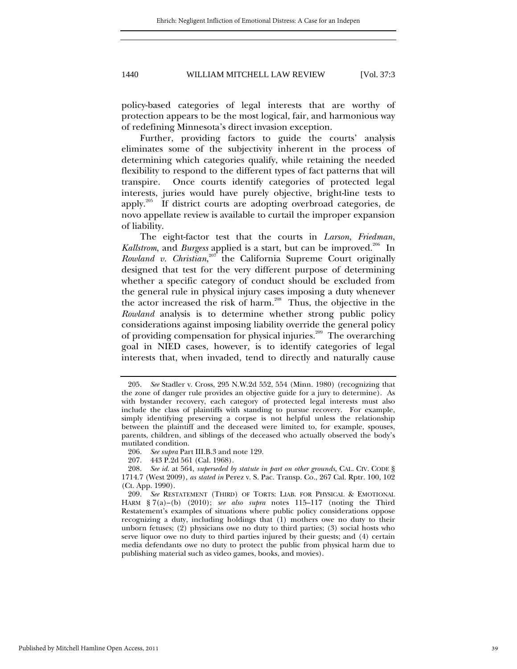policy-based categories of legal interests that are worthy of protection appears to be the most logical, fair, and harmonious way of redefining Minnesota's direct invasion exception.

Further, providing factors to guide the courts' analysis eliminates some of the subjectivity inherent in the process of determining which categories qualify, while retaining the needed flexibility to respond to the different types of fact patterns that will transpire. Once courts identify categories of protected legal interests, juries would have purely objective, bright-line tests to apply.205 If district courts are adopting overbroad categories, de novo appellate review is available to curtail the improper expansion of liability.

The eight-factor test that the courts in *Larson*, *Friedman*, *Kallstrom*, and *Burgess* applied is a start, but can be improved.<sup>206</sup> In *Rowland v. Christian*, 207 the California Supreme Court originally designed that test for the very different purpose of determining whether a specific category of conduct should be excluded from the general rule in physical injury cases imposing a duty whenever the actor increased the risk of harm.<sup>208</sup> Thus, the objective in the *Rowland* analysis is to determine whether strong public policy considerations against imposing liability override the general policy of providing compensation for physical injuries.<sup>209</sup> The overarching goal in NIED cases, however, is to identify categories of legal interests that, when invaded, tend to directly and naturally cause

 <sup>205.</sup> *See* Stadler v. Cross, 295 N.W.2d 552, 554 (Minn. 1980) (recognizing that the zone of danger rule provides an objective guide for a jury to determine). As with bystander recovery, each category of protected legal interests must also include the class of plaintiffs with standing to pursue recovery. For example, simply identifying preserving a corpse is not helpful unless the relationship between the plaintiff and the deceased were limited to, for example, spouses, parents, children, and siblings of the deceased who actually observed the body's mutilated condition.

 <sup>206.</sup> *See supra* Part III.B.3 and note 129.

 <sup>207. 443</sup> P.2d 561 (Cal. 1968).

 <sup>208.</sup> *See id.* at 564, *superseded by statute in part on other grounds*, CAL. CIV. CODE § 1714.7 (West 2009), *as stated in* Perez v. S. Pac. Transp. Co., 267 Cal. Rptr. 100, 102 (Ct. App. 1990).

 <sup>209.</sup> *See* RESTATEMENT (THIRD) OF TORTS: LIAB. FOR PHYSICAL & EMOTIONAL HARM § 7(a)–(b) (2010); *see also supra* notes 115–117 (noting the Third Restatement's examples of situations where public policy considerations oppose recognizing a duty, including holdings that (1) mothers owe no duty to their unborn fetuses; (2) physicians owe no duty to third parties; (3) social hosts who serve liquor owe no duty to third parties injured by their guests; and (4) certain media defendants owe no duty to protect the public from physical harm due to publishing material such as video games, books, and movies).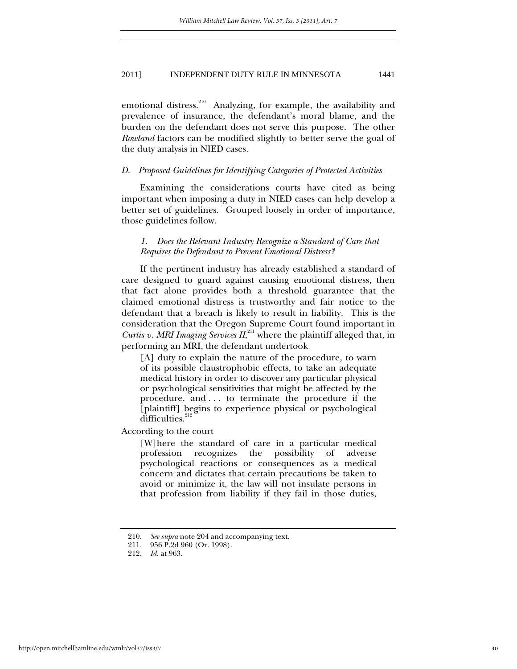emotional distress.<sup>210</sup> Analyzing, for example, the availability and prevalence of insurance, the defendant's moral blame, and the burden on the defendant does not serve this purpose. The other *Rowland* factors can be modified slightly to better serve the goal of the duty analysis in NIED cases.

#### *D. Proposed Guidelines for Identifying Categories of Protected Activities*

Examining the considerations courts have cited as being important when imposing a duty in NIED cases can help develop a better set of guidelines. Grouped loosely in order of importance, those guidelines follow.

# *1. Does the Relevant Industry Recognize a Standard of Care that Requires the Defendant to Prevent Emotional Distress?*

If the pertinent industry has already established a standard of care designed to guard against causing emotional distress, then that fact alone provides both a threshold guarantee that the claimed emotional distress is trustworthy and fair notice to the defendant that a breach is likely to result in liability. This is the consideration that the Oregon Supreme Court found important in Curtis v. MRI Imaging Services II,<sup>211</sup> where the plaintiff alleged that, in performing an MRI, the defendant undertook

[A] duty to explain the nature of the procedure, to warn of its possible claustrophobic effects, to take an adequate medical history in order to discover any particular physical or psychological sensitivities that might be affected by the procedure, and . . . to terminate the procedure if the [plaintiff] begins to experience physical or psychological  $dif$ ficulties. $2<sup>2</sup>$ 

According to the court

[W]here the standard of care in a particular medical profession recognizes the possibility of adverse psychological reactions or consequences as a medical concern and dictates that certain precautions be taken to avoid or minimize it, the law will not insulate persons in that profession from liability if they fail in those duties,

 <sup>210.</sup> *See supra* note 204 and accompanying text.

 <sup>211. 956</sup> P.2d 960 (Or. 1998).

 <sup>212.</sup> *Id.* at 963.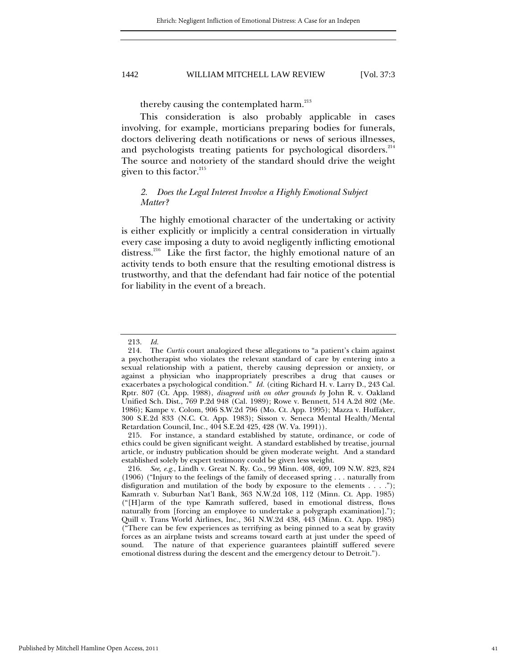thereby causing the contemplated harm.<sup>213</sup>

This consideration is also probably applicable in cases involving, for example, morticians preparing bodies for funerals, doctors delivering death notifications or news of serious illnesses, and psychologists treating patients for psychological disorders.<sup>214</sup> The source and notoriety of the standard should drive the weight given to this factor. $^{215}$ 

# *2. Does the Legal Interest Involve a Highly Emotional Subject Matter?*

The highly emotional character of the undertaking or activity is either explicitly or implicitly a central consideration in virtually every case imposing a duty to avoid negligently inflicting emotional distress.216 Like the first factor, the highly emotional nature of an activity tends to both ensure that the resulting emotional distress is trustworthy, and that the defendant had fair notice of the potential for liability in the event of a breach.

 215. For instance, a standard established by statute, ordinance, or code of ethics could be given significant weight. A standard established by treatise, journal article, or industry publication should be given moderate weight. And a standard established solely by expert testimony could be given less weight.

 <sup>213.</sup> *Id.*

 <sup>214.</sup> The *Curtis* court analogized these allegations to "a patient's claim against a psychotherapist who violates the relevant standard of care by entering into a sexual relationship with a patient, thereby causing depression or anxiety, or against a physician who inappropriately prescribes a drug that causes or exacerbates a psychological condition." *Id.* (citing Richard H. v. Larry D., 243 Cal. Rptr. 807 (Ct. App. 1988), *disagreed with on other grounds by* John R. v. Oakland Unified Sch. Dist., 769 P.2d 948 (Cal. 1989); Rowe v. Bennett, 514 A.2d 802 (Me. 1986); Kampe v. Colom, 906 S.W.2d 796 (Mo. Ct. App. 1995); Mazza v. Huffaker, 300 S.E.2d 833 (N.C. Ct. App. 1983); Sisson v. Seneca Mental Health/Mental Retardation Council, Inc., 404 S.E.2d 425, 428 (W. Va. 1991)).

 <sup>216.</sup> *See, e.g.*, Lindh v. Great N. Ry. Co., 99 Minn. 408, 409, 109 N.W. 823, 824 (1906) ("Injury to the feelings of the family of deceased spring . . . naturally from disfiguration and mutilation of the body by exposure to the elements . . . ."); Kamrath v. Suburban Nat'l Bank, 363 N.W.2d 108, 112 (Minn. Ct. App. 1985) ("[H]arm of the type Kamrath suffered, based in emotional distress, flows naturally from [forcing an employee to undertake a polygraph examination]."); Quill v. Trans World Airlines, Inc., 361 N.W.2d 438, 443 (Minn. Ct. App. 1985) ("There can be few experiences as terrifying as being pinned to a seat by gravity forces as an airplane twists and screams toward earth at just under the speed of sound. The nature of that experience guarantees plaintiff suffered severe emotional distress during the descent and the emergency detour to Detroit.").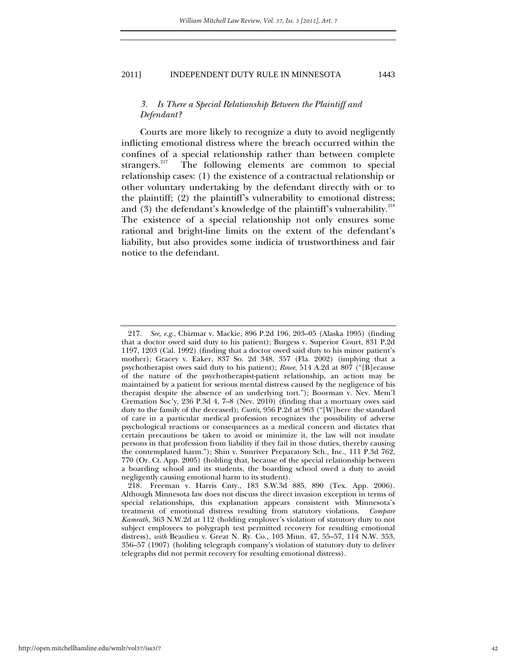# *3. Is There a Special Relationship Between the Plaintiff and Defendant?*

Courts are more likely to recognize a duty to avoid negligently inflicting emotional distress where the breach occurred within the confines of a special relationship rather than between complete strangers.<sup>217</sup> The following elements are common to special The following elements are common to special relationship cases: (1) the existence of a contractual relationship or other voluntary undertaking by the defendant directly with or to the plaintiff; (2) the plaintiff's vulnerability to emotional distress; and  $(3)$  the defendant's knowledge of the plaintiff's vulnerability.<sup>218</sup> The existence of a special relationship not only ensures some rational and bright-line limits on the extent of the defendant's liability, but also provides some indicia of trustworthiness and fair notice to the defendant.

 <sup>217.</sup> *See, e.g*., Chizmar v. Mackie, 896 P.2d 196, 203–05 (Alaska 1995) (finding that a doctor owed said duty to his patient); Burgess v. Superior Court, 831 P.2d 1197, 1203 (Cal. 1992) (finding that a doctor owed said duty to his minor patient's mother); Gracey v. Eaker, 837 So. 2d 348, 357 (Fla. 2002) (implying that a psychotherapist owes said duty to his patient); *Rowe*, 514 A.2d at 807 ("[B]ecause of the nature of the psychotherapist-patient relationship, an action may be maintained by a patient for serious mental distress caused by the negligence of his therapist despite the absence of an underlying tort."); Boorman v. Nev. Mem'l Cremation Soc'y, 236 P.3d 4, 7–8 (Nev. 2010) (finding that a mortuary owes said duty to the family of the deceased); *Curtis*, 956 P.2d at 963 ("[W]here the standard of care in a particular medical profession recognizes the possibility of adverse psychological reactions or consequences as a medical concern and dictates that certain precautions be taken to avoid or minimize it, the law will not insulate persons in that profession from liability if they fail in those duties, thereby causing the contemplated harm."); Shin v. Sunriver Preparatory Sch., Inc., 111 P.3d 762, 770 (Or. Ct. App. 2005) (holding that, because of the special relationship between a boarding school and its students, the boarding school owed a duty to avoid negligently causing emotional harm to its student).

 <sup>218.</sup> Freeman v. Harris Cnty., 183 S.W.3d 885, 890 (Tex. App. 2006). Although Minnesota law does not discuss the direct invasion exception in terms of special relationships, this explanation appears consistent with Minnesota's treatment of emotional distress resulting from statutory violations. *Compare Kamrath*, 363 N.W.2d at 112 (holding employer's violation of statutory duty to not subject employees to polygraph test permitted recovery for resulting emotional distress), *with* Beaulieu v. Great N. Ry. Co., 103 Minn. 47, 55–57, 114 N.W. 353, 356–57 (1907) (holding telegraph company's violation of statutory duty to deliver telegraphs did not permit recovery for resulting emotional distress).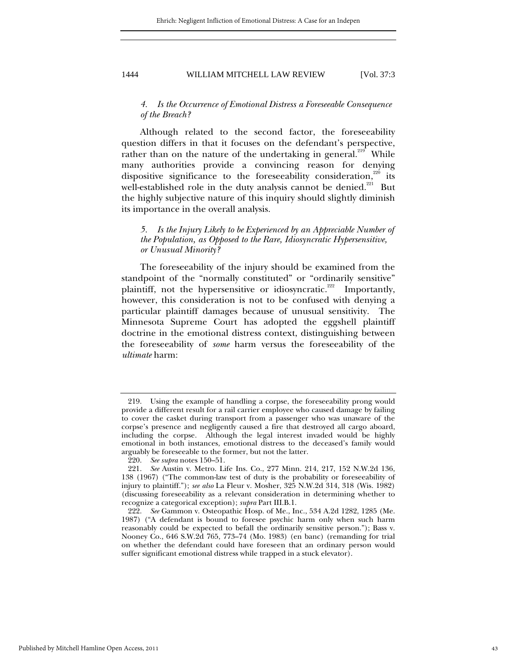# *4. Is the Occurrence of Emotional Distress a Foreseeable Consequence of the Breach?*

Although related to the second factor, the foreseeability question differs in that it focuses on the defendant's perspective, rather than on the nature of the undertaking in general.<sup>219</sup> While many authorities provide a convincing reason for denying dispositive significance to the foreseeability consideration,<sup>220</sup> its well-established role in the duty analysis cannot be denied.<sup>221</sup> But the highly subjective nature of this inquiry should slightly diminish its importance in the overall analysis.

# *5. Is the Injury Likely to be Experienced by an Appreciable Number of the Population, as Opposed to the Rare, Idiosyncratic Hypersensitive, or Unusual Minority?*

The foreseeability of the injury should be examined from the standpoint of the "normally constituted" or "ordinarily sensitive" plaintiff, not the hypersensitive or idiosyncratic.<sup>222</sup> Importantly, however, this consideration is not to be confused with denying a particular plaintiff damages because of unusual sensitivity. The Minnesota Supreme Court has adopted the eggshell plaintiff doctrine in the emotional distress context, distinguishing between the foreseeability of *some* harm versus the foreseeability of the *ultimate* harm:

 <sup>219.</sup> Using the example of handling a corpse, the foreseeability prong would provide a different result for a rail carrier employee who caused damage by failing to cover the casket during transport from a passenger who was unaware of the corpse's presence and negligently caused a fire that destroyed all cargo aboard, including the corpse. Although the legal interest invaded would be highly emotional in both instances, emotional distress to the deceased's family would arguably be foreseeable to the former, but not the latter.

 <sup>220.</sup> *See supra* notes 150–51.

 <sup>221.</sup> *See* Austin v. Metro. Life Ins. Co., 277 Minn. 214, 217, 152 N.W.2d 136, 138 (1967) ("The common-law test of duty is the probability or foreseeability of injury to plaintiff."); *see also* La Fleur v. Mosher, 325 N.W.2d 314, 318 (Wis. 1982) (discussing foreseeability as a relevant consideration in determining whether to recognize a categorical exception); *supra* Part III.B.1.

 <sup>222.</sup> *See* Gammon v. Osteopathic Hosp. of Me., Inc., 534 A.2d 1282, 1285 (Me. 1987) ("A defendant is bound to foresee psychic harm only when such harm reasonably could be expected to befall the ordinarily sensitive person."); Bass v. Nooney Co., 646 S.W.2d 765, 773–74 (Mo. 1983) (en banc) (remanding for trial on whether the defendant could have foreseen that an ordinary person would suffer significant emotional distress while trapped in a stuck elevator).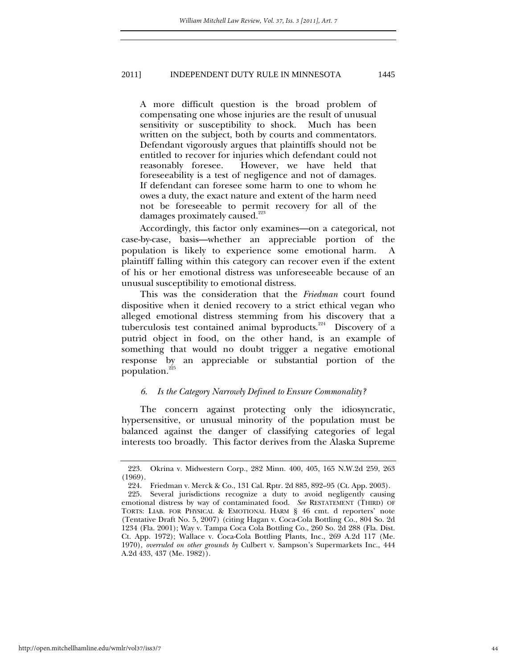A more difficult question is the broad problem of compensating one whose injuries are the result of unusual sensitivity or susceptibility to shock. Much has been written on the subject, both by courts and commentators. Defendant vigorously argues that plaintiffs should not be entitled to recover for injuries which defendant could not reasonably foresee. However, we have held that foreseeability is a test of negligence and not of damages. If defendant can foresee some harm to one to whom he owes a duty, the exact nature and extent of the harm need not be foreseeable to permit recovery for all of the damages proximately caused.<sup>223</sup>

 Accordingly, this factor only examines—on a categorical, not case-by-case, basis—whether an appreciable portion of the population is likely to experience some emotional harm. A plaintiff falling within this category can recover even if the extent of his or her emotional distress was unforeseeable because of an unusual susceptibility to emotional distress.

This was the consideration that the *Friedman* court found dispositive when it denied recovery to a strict ethical vegan who alleged emotional distress stemming from his discovery that a tuberculosis test contained animal byproducts.224 Discovery of a putrid object in food, on the other hand, is an example of something that would no doubt trigger a negative emotional response by an appreciable or substantial portion of the population.<sup>225</sup>

#### *6. Is the Category Narrowly Defined to Ensure Commonality?*

The concern against protecting only the idiosyncratic, hypersensitive, or unusual minority of the population must be balanced against the danger of classifying categories of legal interests too broadly. This factor derives from the Alaska Supreme

 <sup>223.</sup> Okrina v. Midwestern Corp., 282 Minn. 400, 405, 165 N.W.2d 259, 263 (1969).

 <sup>224.</sup> Friedman v. Merck & Co., 131 Cal. Rptr. 2d 885, 892–95 (Ct. App. 2003).

 <sup>225.</sup> Several jurisdictions recognize a duty to avoid negligently causing emotional distress by way of contaminated food. *See* RESTATEMENT (THIRD) OF TORTS: LIAB. FOR PHYSICAL & EMOTIONAL HARM § 46 cmt. d reporters' note (Tentative Draft No. 5, 2007) (citing Hagan v. Coca-Cola Bottling Co., 804 So. 2d 1234 (Fla. 2001); Way v. Tampa Coca Cola Bottling Co., 260 So. 2d 288 (Fla. Dist. Ct. App. 1972); Wallace v. Coca-Cola Bottling Plants, Inc., 269 A.2d 117 (Me. 1970), *overruled on other grounds by* Culbert v. Sampson's Supermarkets Inc., 444 A.2d 433, 437 (Me. 1982)).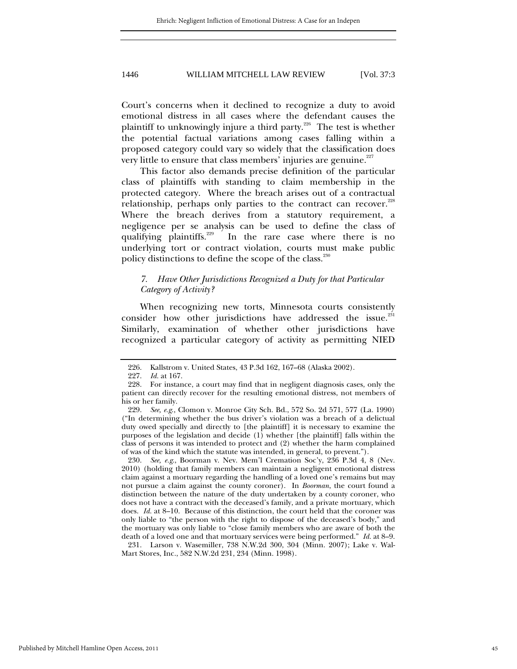Court's concerns when it declined to recognize a duty to avoid emotional distress in all cases where the defendant causes the plaintiff to unknowingly injure a third party.<sup>226</sup> The test is whether the potential factual variations among cases falling within a proposed category could vary so widely that the classification does very little to ensure that class members' injuries are genuine.<sup> $227$ </sup>

This factor also demands precise definition of the particular class of plaintiffs with standing to claim membership in the protected category. Where the breach arises out of a contractual relationship, perhaps only parties to the contract can recover.<sup>228</sup> Where the breach derives from a statutory requirement, a negligence per se analysis can be used to define the class of qualifying plaintiffs.<sup>229</sup> In the rare case where there is no underlying tort or contract violation, courts must make public policy distinctions to define the scope of the class.<sup>230</sup>

# *7. Have Other Jurisdictions Recognized a Duty for that Particular Category of Activity?*

When recognizing new torts, Minnesota courts consistently consider how other jurisdictions have addressed the issue.<sup>231</sup> Similarly, examination of whether other jurisdictions have recognized a particular category of activity as permitting NIED

 230. *See, e.g*., Boorman v. Nev. Mem'l Cremation Soc'y, 236 P.3d 4, 8 (Nev. 2010) (holding that family members can maintain a negligent emotional distress claim against a mortuary regarding the handling of a loved one's remains but may not pursue a claim against the county coroner). In *Boorman*, the court found a distinction between the nature of the duty undertaken by a county coroner, who does not have a contract with the deceased's family, and a private mortuary, which does. *Id.* at 8–10. Because of this distinction, the court held that the coroner was only liable to "the person with the right to dispose of the deceased's body," and the mortuary was only liable to "close family members who are aware of both the death of a loved one and that mortuary services were being performed." *Id.* at 8–9.

 231. Larson v. Wasemiller, 738 N.W.2d 300, 304 (Minn. 2007); Lake v. Wal-Mart Stores, Inc., 582 N.W.2d 231, 234 (Minn. 1998).

 <sup>226.</sup> Kallstrom v. United States, 43 P.3d 162, 167–68 (Alaska 2002).

 <sup>227.</sup> *Id.* at 167.

 <sup>228.</sup> For instance, a court may find that in negligent diagnosis cases, only the patient can directly recover for the resulting emotional distress, not members of his or her family.

 <sup>229.</sup> *See, e.g*., Clomon v. Monroe City Sch. Bd., 572 So. 2d 571, 577 (La. 1990) ("In determining whether the bus driver's violation was a breach of a delictual duty owed specially and directly to [the plaintiff] it is necessary to examine the purposes of the legislation and decide (1) whether [the plaintiff] falls within the class of persons it was intended to protect and (2) whether the harm complained of was of the kind which the statute was intended, in general, to prevent.").